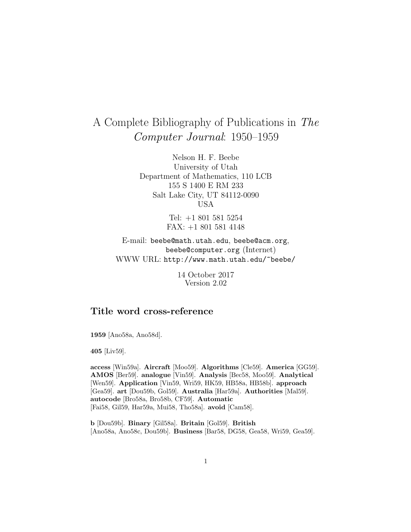# A Complete Bibliography of Publications in The Computer Journal: 1950–1959

Nelson H. F. Beebe University of Utah Department of Mathematics, 110 LCB 155 S 1400 E RM 233 Salt Lake City, UT 84112-0090 USA

> Tel: +1 801 581 5254 FAX: +1 801 581 4148

E-mail: beebe@math.utah.edu, beebe@acm.org, beebe@computer.org (Internet) WWW URL: http://www.math.utah.edu/~beebe/

> 14 October 2017 Version 2.02

# **Title word cross-reference**

**1959** [Ano58a, Ano58d].

**405** [Liv59].

**access** [Win59a]. **Aircraft** [Moo59]. **Algorithms** [Cle59]. **America** [GG59]. **AMOS** [Ber59]. **analogue** [Vin59]. **Analysis** [Bec58, Moo59]. **Analytical** [Wen59]. **Application** [Vin59, Wri59, HK59, HB58a, HB58b]. **approach** [Gea59]. **art** [Dou59b, Gol59]. **Australia** [Har59a]. **Authorities** [Mal59]. **autocode** [Bro58a, Bro58b, CF59]. **Automatic** [Fai58, Gil59, Har59a, Mui58, Tho58a]. **avoid** [Cam58].

**b** [Dou59b]. **Binary** [Gil58a]. **Britain** [Gol59]. **British** [Ano58a, Ano58c, Dou59b]. **Business** [Bar58, DG58, Gea58, Wri59, Gea59].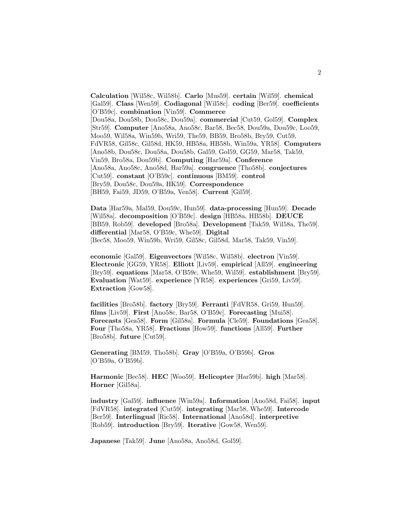**Calculation** [Wil58c, Wil58b]. **Carlo** [Mus59]. **certain** [Wil59]. **chemical** [Gal59]. **Class** [Wen59]. **Codiagonal** [Wil58c]. **coding** [Ber59]. **coefficients** [O'B59c]. **combination** [Vin59]. **Commerce** [Dou58a, Dou58b, Dou58c, Dou59a]. **commercial** [Cut59, Gol59]. **Complex** [Str59]. **Computer** [Ano58a, Ano58c, Bar58, Bec58, Dou59a, Dou59c, Loo59, Moo59, Wil58a, Win59b, Wri59, The59, BB59, Bro58b, Bry59, Cut59, FdVR58, Gil58c, Gil58d, HK59, HB58a, HB58b, Win59a, YR58]. **Computers** [Ano58b, Dou58c, Dou58a, Dou58b, Gal59, Gol59, GG59, Mar58, Tak59, Vin59, Bro58a, Dou59b]. **Computing** [Har59a]. **Conference** [Ano58a, Ano58c, Ano58d, Har59a]. **congruence** [Tho58b]. **conjectures** [Cut59]. **constant** [O'B59c]. **continuous** [BM59]. **control** [Bry59, Dou58c, Dou59a, HK59]. **Correspondence** [BH59, Fai59, JD59, O'B59a, Ven58]. **Current** [Gil59].

**Data** [Har59a, Mal59, Dou59c, Hun59]. **data-processing** [Hun59]. **Decade** [Wil58a]. **decomposition** [O'B59c]. **design** [HB58a, HB58b]. **DEUCE** [BB59, Rob59]. **developed** [Bro58a]. **Development** [Tak59, Wil58a, The59]. **differential** [Mar58, O'B59c, Whe59]. **Digital** [Bec58, Moo59, Win59b, Wri59, Gil58c, Gil58d, Mar58, Tak59, Vin59].

**economic** [Gal59]. **Eigenvectors** [Wil58c, Wil58b]. **electron** [Vin59]. **Electronic** [GG59, YR58]. **Elliott** [Liv59]. **empirical** [All59]. **engineering** [Bry59]. **equations** [Mar58, O'B59c, Whe59, Wil59]. **establishment** [Bry59]. **Evaluation** [Wat59]. **experience** [YR58]. **experiences** [Gri59, Liv59]. **Extraction** [Gow58].

**facilities** [Bro58b]. **factory** [Bry59]. **Ferranti** [FdVR58, Gri59, Hun59]. **films** [Liv59]. **First** [Ano58c, Bar58, O'B59c]. **Forecasting** [Mui58]. **Forecasts** [Gea58]. **Form** [Gil58a]. **Formula** [Cle59]. **Foundations** [Gea58]. **Four** [Tho58a, YR58]. **Fractions** [How59]. **functions** [All59]. **Further** [Bro58b]. **future** [Cut59].

**Generating** [BM59, Tho58b]. **Gray** [O'B59a, O'B59b]. **Gros** [O'B59a, O'B59b].

**Harmonic** [Bec58]. **HEC** [Woo59]. **Helicopter** [Har59b]. **high** [Mar58]. **Horner** [Gil58a].

**industry** [Gal59]. **influence** [Win59a]. **Information** [Ano58d, Fai58]. **input** [FdVR58]. **integrated** [Cut59]. **integrating** [Mar58, Whe59]. **Intercode** [Ber59]. **Interlingual** [Ric58]. **International** [Ano58d]. **interpretive** [Rob59]. **introduction** [Bry59]. **Iterative** [Gow58, Wen59].

**Japanese** [Tak59]. **June** [Ano58a, Ano58d, Gol59].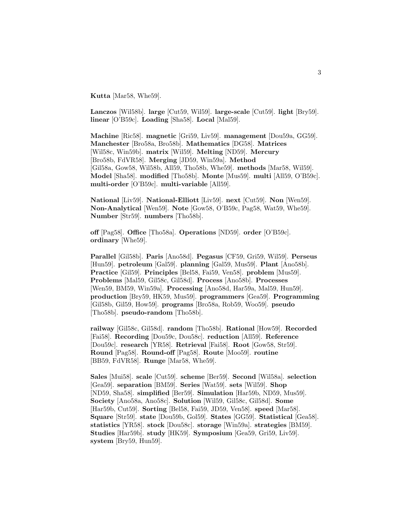**Kutta** [Mar58, Whe59].

**Lanczos** [Wil58b]. **large** [Cut59, Wil59]. **large-scale** [Cut59]. **light** [Bry59]. **linear** [O'B59c]. **Loading** [Sha58]. **Local** [Mal59].

**Machine** [Ric58]. **magnetic** [Gri59, Liv59]. **management** [Dou59a, GG59]. **Manchester** [Bro58a, Bro58b]. **Mathematics** [DG58]. **Matrices** [Wil58c, Win59b]. **matrix** [Wil59]. **Melting** [ND59]. **Mercury** [Bro58b, FdVR58]. **Merging** [JD59, Win59a]. **Method** [Gil58a, Gow58, Wil58b, All59, Tho58b, Whe59]. **methods** [Mar58, Wil59]. **Model** [Sha58]. **modified** [Tho58b]. **Monte** [Mus59]. **multi** [All59, O'B59c]. **multi-order** [O'B59c]. **multi-variable** [All59].

**National** [Liv59]. **National-Elliott** [Liv59]. **next** [Cut59]. **Non** [Wen59]. **Non-Analytical** [Wen59]. **Note** [Gow58, O'B59c, Pag58, Wat59, Whe59]. **Number** [Str59]. **numbers** [Tho58b].

**off** [Pag58]. **Office** [Tho58a]. **Operations** [ND59]. **order** [O'B59c]. **ordinary** [Whe59].

**Parallel** [Gil58b]. **Paris** [Ano58d]. **Pegasus** [CF59, Gri59, Wil59]. **Perseus** [Hun59]. **petroleum** [Gal59]. **planning** [Gal59, Mus59]. **Plant** [Ano58b]. **Practice** [Gil59]. **Principles** [Bel58, Fai59, Ven58]. **problem** [Mus59]. **Problems** [Mal59, Gil58c, Gil58d]. **Process** [Ano58b]. **Processes** [Wen59, BM59, Win59a]. **Processing** [Ano58d, Har59a, Mal59, Hun59]. **production** [Bry59, HK59, Mus59]. **programmers** [Gea59]. **Programming** [Gil58b, Gil59, How59]. **programs** [Bro58a, Rob59, Woo59]. **pseudo** [Tho58b]. **pseudo-random** [Tho58b].

**railway** [Gil58c, Gil58d]. **random** [Tho58b]. **Rational** [How59]. **Recorded** [Fai58]. **Recording** [Dou59c, Dou58c]. **reduction** [All59]. **Reference** [Dou59c]. **research** [YR58]. **Retrieval** [Fai58]. **Root** [Gow58, Str59]. **Round** [Pag58]. **Round-off** [Pag58]. **Route** [Moo59]. **routine** [BB59, FdVR58]. **Runge** [Mar58, Whe59].

**Sales** [Mui58]. **scale** [Cut59]. **scheme** [Ber59]. **Second** [Wil58a]. **selection** [Gea59]. **separation** [BM59]. **Series** [Wat59]. **sets** [Wil59]. **Shop** [ND59, Sha58]. **simplified** [Ber59]. **Simulation** [Har59b, ND59, Mus59]. **Society** [Ano58a, Ano58c]. **Solution** [Wil59, Gil58c, Gil58d]. **Some** [Har59b, Cut59]. **Sorting** [Bel58, Fai59, JD59, Ven58]. **speed** [Mar58]. **Square** [Str59]. **state** [Dou59b, Gol59]. **States** [GG59]. **Statistical** [Gea58]. **statistics** [YR58]. **stock** [Dou58c]. **storage** [Win59a]. **strategies** [BM59]. **Studies** [Har59b]. **study** [HK59]. **Symposium** [Gea59, Gri59, Liv59]. **system** [Bry59, Hun59].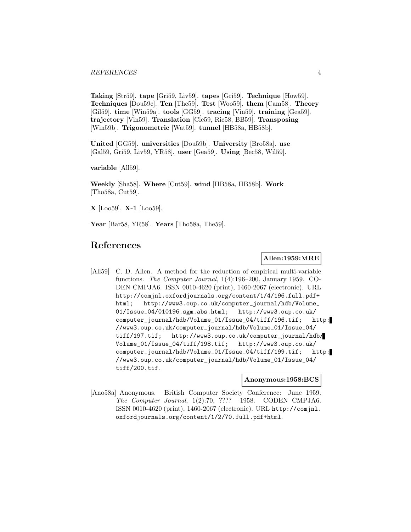**Taking** [Str59]. **tape** [Gri59, Liv59]. **tapes** [Gri59]. **Technique** [How59]. **Techniques** [Dou59c]. **Ten** [The59]. **Test** [Woo59]. **them** [Cam58]. **Theory** [Gil59]. **time** [Win59a]. **tools** [GG59]. **tracing** [Vin59]. **training** [Gea59]. **trajectory** [Vin59]. **Translation** [Cle59, Ric58, BB59]. **Transposing** [Win59b]. **Trigonometric** [Wat59]. **tunnel** [HB58a, HB58b].

**United** [GG59]. **universities** [Dou59b]. **University** [Bro58a]. **use** [Gal59, Gri59, Liv59, YR58]. **user** [Gea59]. **Using** [Bec58, Wil59].

**variable** [All59].

**Weekly** [Sha58]. **Where** [Cut59]. **wind** [HB58a, HB58b]. **Work** [Tho58a, Cut59].

**X** [Loo59]. **X-1** [Loo59].

**Year** [Bar58, YR58]. **Years** [Tho58a, The59].

# **References**

## **Allen:1959:MRE**

[All59] C. D. Allen. A method for the reduction of empirical multi-variable functions. The Computer Journal, 1(4):196–200, January 1959. CO-DEN CMPJA6. ISSN 0010-4620 (print), 1460-2067 (electronic). URL http://comjnl.oxfordjournals.org/content/1/4/196.full.pdf+ html; http://www3.oup.co.uk/computer\_journal/hdb/Volume\_ 01/Issue\_04/010196.sgm.abs.html; http://www3.oup.co.uk/ computer\_journal/hdb/Volume\_01/Issue\_04/tiff/196.tif; http: //www3.oup.co.uk/computer\_journal/hdb/Volume\_01/Issue\_04/ tiff/197.tif; http://www3.oup.co.uk/computer\_journal/hdb/ Volume\_01/Issue\_04/tiff/198.tif; http://www3.oup.co.uk/ computer\_journal/hdb/Volume\_01/Issue\_04/tiff/199.tif; http: //www3.oup.co.uk/computer\_journal/hdb/Volume\_01/Issue\_04/ tiff/200.tif.

#### **Anonymous:1958:BCS**

[Ano58a] Anonymous. British Computer Society Conference: June 1959. The Computer Journal, 1(2):70, ???? 1958. CODEN CMPJA6. ISSN 0010-4620 (print), 1460-2067 (electronic). URL http://comjnl. oxfordjournals.org/content/1/2/70.full.pdf+html.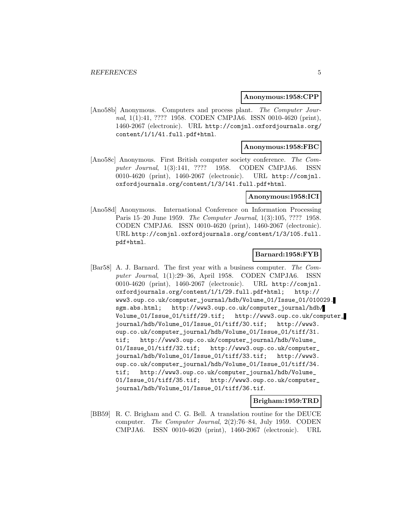#### **Anonymous:1958:CPP**

[Ano58b] Anonymous. Computers and process plant. The Computer Journal, 1(1):41, ???? 1958. CODEN CMPJA6. ISSN 0010-4620 (print), 1460-2067 (electronic). URL http://comjnl.oxfordjournals.org/ content/1/1/41.full.pdf+html.

## **Anonymous:1958:FBC**

[Ano58c] Anonymous. First British computer society conference. The Computer Journal, 1(3):141, ???? 1958. CODEN CMPJA6. ISSN 0010-4620 (print), 1460-2067 (electronic). URL http://comjnl. oxfordjournals.org/content/1/3/141.full.pdf+html.

#### **Anonymous:1958:ICI**

[Ano58d] Anonymous. International Conference on Information Processing Paris 15–20 June 1959. The Computer Journal, 1(3):105, ???? 1958. CODEN CMPJA6. ISSN 0010-4620 (print), 1460-2067 (electronic). URL http://comjnl.oxfordjournals.org/content/1/3/105.full. pdf+html.

## **Barnard:1958:FYB**

[Bar58] A. J. Barnard. The first year with a business computer. The Computer Journal, 1(1):29–36, April 1958. CODEN CMPJA6. ISSN 0010-4620 (print), 1460-2067 (electronic). URL http://comjnl. oxfordjournals.org/content/1/1/29.full.pdf+html; http:// www3.oup.co.uk/computer\_journal/hdb/Volume\_01/Issue\_01/010029. sgm.abs.html; http://www3.oup.co.uk/computer\_journal/hdb/ Volume\_01/Issue\_01/tiff/29.tif; http://www3.oup.co.uk/computer\_ journal/hdb/Volume\_01/Issue\_01/tiff/30.tif; http://www3. oup.co.uk/computer\_journal/hdb/Volume\_01/Issue\_01/tiff/31. tif; http://www3.oup.co.uk/computer\_journal/hdb/Volume\_ 01/Issue\_01/tiff/32.tif; http://www3.oup.co.uk/computer\_ journal/hdb/Volume\_01/Issue\_01/tiff/33.tif; http://www3. oup.co.uk/computer\_journal/hdb/Volume\_01/Issue\_01/tiff/34. tif; http://www3.oup.co.uk/computer\_journal/hdb/Volume\_ 01/Issue\_01/tiff/35.tif; http://www3.oup.co.uk/computer\_ journal/hdb/Volume\_01/Issue\_01/tiff/36.tif.

## **Brigham:1959:TRD**

[BB59] R. C. Brigham and C. G. Bell. A translation routine for the DEUCE computer. The Computer Journal, 2(2):76–84, July 1959. CODEN CMPJA6. ISSN 0010-4620 (print), 1460-2067 (electronic). URL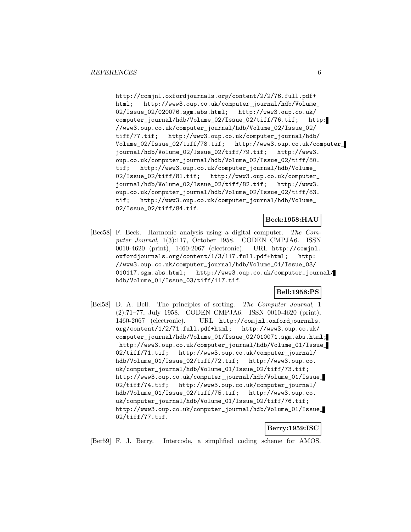http://comjnl.oxfordjournals.org/content/2/2/76.full.pdf+ html; http://www3.oup.co.uk/computer\_journal/hdb/Volume\_ 02/Issue\_02/020076.sgm.abs.html; http://www3.oup.co.uk/ computer\_journal/hdb/Volume\_02/Issue\_02/tiff/76.tif; http: //www3.oup.co.uk/computer\_journal/hdb/Volume\_02/Issue\_02/ tiff/77.tif; http://www3.oup.co.uk/computer\_journal/hdb/ Volume\_02/Issue\_02/tiff/78.tif; http://www3.oup.co.uk/computer\_ journal/hdb/Volume\_02/Issue\_02/tiff/79.tif; http://www3. oup.co.uk/computer\_journal/hdb/Volume\_02/Issue\_02/tiff/80. tif; http://www3.oup.co.uk/computer\_journal/hdb/Volume\_ 02/Issue\_02/tiff/81.tif; http://www3.oup.co.uk/computer\_ journal/hdb/Volume\_02/Issue\_02/tiff/82.tif; http://www3. oup.co.uk/computer\_journal/hdb/Volume\_02/Issue\_02/tiff/83. tif; http://www3.oup.co.uk/computer\_journal/hdb/Volume\_ 02/Issue\_02/tiff/84.tif.

#### **Beck:1958:HAU**

[Bec58] F. Beck. Harmonic analysis using a digital computer. The Computer Journal, 1(3):117, October 1958. CODEN CMPJA6. ISSN 0010-4620 (print), 1460-2067 (electronic). URL http://comjnl. oxfordjournals.org/content/1/3/117.full.pdf+html; http: //www3.oup.co.uk/computer\_journal/hdb/Volume\_01/Issue\_03/ 010117.sgm.abs.html; http://www3.oup.co.uk/computer\_journal/ hdb/Volume\_01/Issue\_03/tiff/117.tif.

# **Bell:1958:PS**

[Bel58] D. A. Bell. The principles of sorting. The Computer Journal, 1 (2):71–77, July 1958. CODEN CMPJA6. ISSN 0010-4620 (print), 1460-2067 (electronic). URL http://comjnl.oxfordjournals. org/content/1/2/71.full.pdf+html; http://www3.oup.co.uk/ computer\_journal/hdb/Volume\_01/Issue\_02/010071.sgm.abs.html; http://www3.oup.co.uk/computer\_journal/hdb/Volume\_01/Issue\_ 02/tiff/71.tif; http://www3.oup.co.uk/computer\_journal/ hdb/Volume\_01/Issue\_02/tiff/72.tif; http://www3.oup.co. uk/computer\_journal/hdb/Volume\_01/Issue\_02/tiff/73.tif; http://www3.oup.co.uk/computer\_journal/hdb/Volume\_01/Issue\_ 02/tiff/74.tif; http://www3.oup.co.uk/computer\_journal/ hdb/Volume\_01/Issue\_02/tiff/75.tif; http://www3.oup.co. uk/computer\_journal/hdb/Volume\_01/Issue\_02/tiff/76.tif; http://www3.oup.co.uk/computer\_journal/hdb/Volume\_01/Issue\_ 02/tiff/77.tif.

#### **Berry:1959:ISC**

[Ber59] F. J. Berry. Intercode, a simplified coding scheme for AMOS.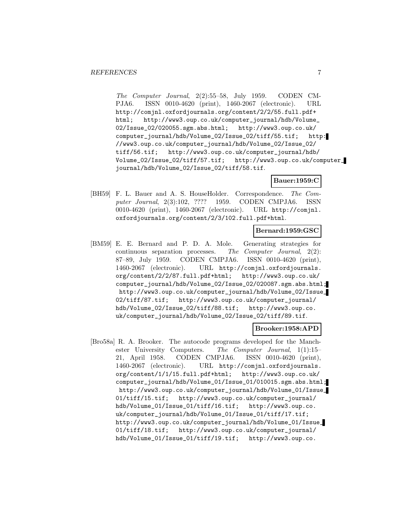The Computer Journal, 2(2):55–58, July 1959. CODEN CM-PJA6. ISSN 0010-4620 (print), 1460-2067 (electronic). URL http://comjnl.oxfordjournals.org/content/2/2/55.full.pdf+ html; http://www3.oup.co.uk/computer\_journal/hdb/Volume\_ 02/Issue\_02/020055.sgm.abs.html; http://www3.oup.co.uk/ computer\_journal/hdb/Volume\_02/Issue\_02/tiff/55.tif; http: //www3.oup.co.uk/computer\_journal/hdb/Volume\_02/Issue\_02/ tiff/56.tif; http://www3.oup.co.uk/computer\_journal/hdb/ Volume\_02/Issue\_02/tiff/57.tif; http://www3.oup.co.uk/computer\_ journal/hdb/Volume\_02/Issue\_02/tiff/58.tif.

## **Bauer:1959:C**

[BH59] F. L. Bauer and A. S. HouseHolder. Correspondence. The Computer Journal, 2(3):102, ???? 1959. CODEN CMPJA6. ISSN 0010-4620 (print), 1460-2067 (electronic). URL http://comjnl. oxfordjournals.org/content/2/3/102.full.pdf+html.

## **Bernard:1959:GSC**

[BM59] E. E. Bernard and P. D. A. Mole. Generating strategies for continuous separation processes. The Computer Journal, 2(2): 87–89, July 1959. CODEN CMPJA6. ISSN 0010-4620 (print), 1460-2067 (electronic). URL http://comjnl.oxfordjournals. org/content/2/2/87.full.pdf+html; http://www3.oup.co.uk/ computer\_journal/hdb/Volume\_02/Issue\_02/020087.sgm.abs.html; http://www3.oup.co.uk/computer\_journal/hdb/Volume\_02/Issue\_ 02/tiff/87.tif; http://www3.oup.co.uk/computer\_journal/ hdb/Volume\_02/Issue\_02/tiff/88.tif; http://www3.oup.co. uk/computer\_journal/hdb/Volume\_02/Issue\_02/tiff/89.tif.

## **Brooker:1958:APD**

[Bro58a] R. A. Brooker. The autocode programs developed for the Manchester University Computers. The Computer Journal, 1(1):15– 21, April 1958. CODEN CMPJA6. ISSN 0010-4620 (print), 1460-2067 (electronic). URL http://comjnl.oxfordjournals. org/content/1/1/15.full.pdf+html; http://www3.oup.co.uk/ computer\_journal/hdb/Volume\_01/Issue\_01/010015.sgm.abs.html; http://www3.oup.co.uk/computer\_journal/hdb/Volume\_01/Issue\_ 01/tiff/15.tif; http://www3.oup.co.uk/computer\_journal/ hdb/Volume\_01/Issue\_01/tiff/16.tif; http://www3.oup.co. uk/computer\_journal/hdb/Volume\_01/Issue\_01/tiff/17.tif; http://www3.oup.co.uk/computer\_journal/hdb/Volume\_01/Issue\_ 01/tiff/18.tif; http://www3.oup.co.uk/computer\_journal/ hdb/Volume\_01/Issue\_01/tiff/19.tif; http://www3.oup.co.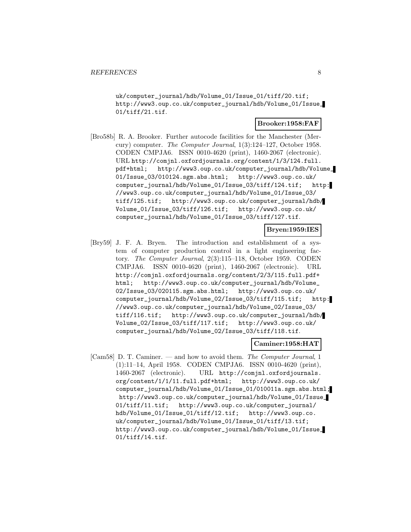uk/computer\_journal/hdb/Volume\_01/Issue\_01/tiff/20.tif; http://www3.oup.co.uk/computer\_journal/hdb/Volume\_01/Issue\_ 01/tiff/21.tif.

#### **Brooker:1958:FAF**

[Bro58b] R. A. Brooker. Further autocode facilities for the Manchester (Mercury) computer. The Computer Journal, 1(3):124–127, October 1958. CODEN CMPJA6. ISSN 0010-4620 (print), 1460-2067 (electronic). URL http://comjnl.oxfordjournals.org/content/1/3/124.full. pdf+html; http://www3.oup.co.uk/computer\_journal/hdb/Volume\_ 01/Issue\_03/010124.sgm.abs.html; http://www3.oup.co.uk/ computer\_journal/hdb/Volume\_01/Issue\_03/tiff/124.tif; http: //www3.oup.co.uk/computer\_journal/hdb/Volume\_01/Issue\_03/ tiff/125.tif; http://www3.oup.co.uk/computer\_journal/hdb/ Volume\_01/Issue\_03/tiff/126.tif; http://www3.oup.co.uk/ computer\_journal/hdb/Volume\_01/Issue\_03/tiff/127.tif.

## **Bryen:1959:IES**

[Bry59] J. F. A. Bryen. The introduction and establishment of a system of computer production control in a light engineering factory. The Computer Journal, 2(3):115–118, October 1959. CODEN CMPJA6. ISSN 0010-4620 (print), 1460-2067 (electronic). URL http://comjnl.oxfordjournals.org/content/2/3/115.full.pdf+ html; http://www3.oup.co.uk/computer\_journal/hdb/Volume\_ 02/Issue\_03/020115.sgm.abs.html; http://www3.oup.co.uk/ computer\_journal/hdb/Volume\_02/Issue\_03/tiff/115.tif; http: //www3.oup.co.uk/computer\_journal/hdb/Volume\_02/Issue\_03/ tiff/116.tif; http://www3.oup.co.uk/computer\_journal/hdb/ Volume\_02/Issue\_03/tiff/117.tif; http://www3.oup.co.uk/ computer\_journal/hdb/Volume\_02/Issue\_03/tiff/118.tif.

## **Caminer:1958:HAT**

[Cam58] D. T. Caminer. — and how to avoid them. The Computer Journal, 1 (1):11–14, April 1958. CODEN CMPJA6. ISSN 0010-4620 (print), 1460-2067 (electronic). URL http://comjnl.oxfordjournals. org/content/1/1/11.full.pdf+html; http://www3.oup.co.uk/ computer\_journal/hdb/Volume\_01/Issue\_01/010011a.sgm.abs.html; http://www3.oup.co.uk/computer\_journal/hdb/Volume\_01/Issue\_ 01/tiff/11.tif; http://www3.oup.co.uk/computer\_journal/ hdb/Volume\_01/Issue\_01/tiff/12.tif; http://www3.oup.co. uk/computer\_journal/hdb/Volume\_01/Issue\_01/tiff/13.tif; http://www3.oup.co.uk/computer\_journal/hdb/Volume\_01/Issue\_ 01/tiff/14.tif.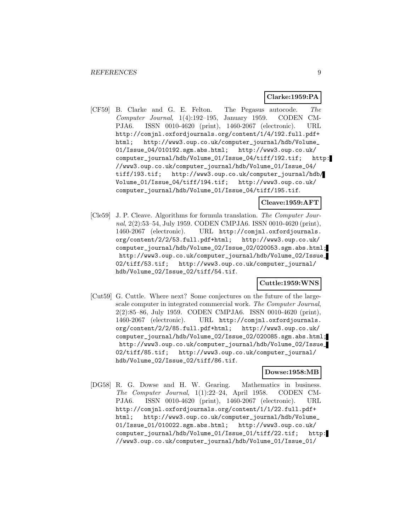#### **Clarke:1959:PA**

[CF59] B. Clarke and G. E. Felton. The Pegasus autocode. The Computer Journal, 1(4):192–195, January 1959. CODEN CM-PJA6. ISSN 0010-4620 (print), 1460-2067 (electronic). URL http://comjnl.oxfordjournals.org/content/1/4/192.full.pdf+ html; http://www3.oup.co.uk/computer\_journal/hdb/Volume\_ 01/Issue\_04/010192.sgm.abs.html; http://www3.oup.co.uk/ computer\_journal/hdb/Volume\_01/Issue\_04/tiff/192.tif; http: //www3.oup.co.uk/computer\_journal/hdb/Volume\_01/Issue\_04/ tiff/193.tif; http://www3.oup.co.uk/computer\_journal/hdb/ Volume\_01/Issue\_04/tiff/194.tif; http://www3.oup.co.uk/ computer\_journal/hdb/Volume\_01/Issue\_04/tiff/195.tif.

#### **Cleave:1959:AFT**

[Cle59] J. P. Cleave. Algorithms for formula translation. The Computer Journal, 2(2):53–54, July 1959. CODEN CMPJA6. ISSN 0010-4620 (print), 1460-2067 (electronic). URL http://comjnl.oxfordjournals. org/content/2/2/53.full.pdf+html; http://www3.oup.co.uk/ computer\_journal/hdb/Volume\_02/Issue\_02/020053.sgm.abs.html; http://www3.oup.co.uk/computer\_journal/hdb/Volume\_02/Issue\_ 02/tiff/53.tif; http://www3.oup.co.uk/computer\_journal/ hdb/Volume\_02/Issue\_02/tiff/54.tif.

#### **Cuttle:1959:WNS**

[Cut59] G. Cuttle. Where next? Some conjectures on the future of the largescale computer in integrated commercial work. The Computer Journal, 2(2):85–86, July 1959. CODEN CMPJA6. ISSN 0010-4620 (print), 1460-2067 (electronic). URL http://comjnl.oxfordjournals. org/content/2/2/85.full.pdf+html; http://www3.oup.co.uk/ computer\_journal/hdb/Volume\_02/Issue\_02/020085.sgm.abs.html; http://www3.oup.co.uk/computer\_journal/hdb/Volume\_02/Issue\_ 02/tiff/85.tif; http://www3.oup.co.uk/computer\_journal/ hdb/Volume\_02/Issue\_02/tiff/86.tif.

#### **Dowse:1958:MB**

[DG58] R. G. Dowse and H. W. Gearing. Mathematics in business. The Computer Journal, 1(1):22–24, April 1958. CODEN CM-PJA6. ISSN 0010-4620 (print), 1460-2067 (electronic). URL http://comjnl.oxfordjournals.org/content/1/1/22.full.pdf+ html; http://www3.oup.co.uk/computer\_journal/hdb/Volume\_ 01/Issue\_01/010022.sgm.abs.html; http://www3.oup.co.uk/ computer\_journal/hdb/Volume\_01/Issue\_01/tiff/22.tif; http: //www3.oup.co.uk/computer\_journal/hdb/Volume\_01/Issue\_01/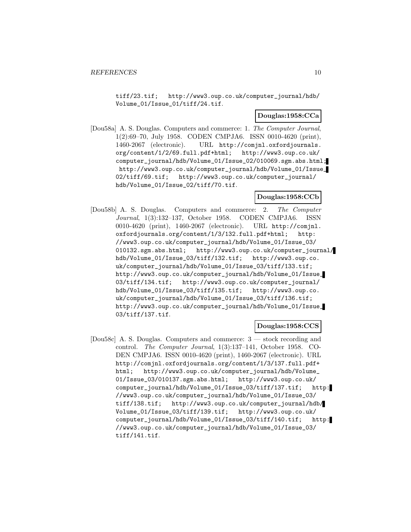tiff/23.tif; http://www3.oup.co.uk/computer\_journal/hdb/ Volume\_01/Issue\_01/tiff/24.tif.

#### **Douglas:1958:CCa**

[Dou58a] A. S. Douglas. Computers and commerce: 1. The Computer Journal, 1(2):69–70, July 1958. CODEN CMPJA6. ISSN 0010-4620 (print), 1460-2067 (electronic). URL http://comjnl.oxfordjournals. org/content/1/2/69.full.pdf+html; http://www3.oup.co.uk/ computer\_journal/hdb/Volume\_01/Issue\_02/010069.sgm.abs.html; http://www3.oup.co.uk/computer\_journal/hdb/Volume\_01/Issue\_ 02/tiff/69.tif; http://www3.oup.co.uk/computer\_journal/ hdb/Volume\_01/Issue\_02/tiff/70.tif.

#### **Douglas:1958:CCb**

[Dou58b] A. S. Douglas. Computers and commerce: 2. The Computer Journal, 1(3):132–137, October 1958. CODEN CMPJA6. ISSN 0010-4620 (print), 1460-2067 (electronic). URL http://comjnl. oxfordjournals.org/content/1/3/132.full.pdf+html; http: //www3.oup.co.uk/computer\_journal/hdb/Volume\_01/Issue\_03/ 010132.sgm.abs.html; http://www3.oup.co.uk/computer\_journal/ hdb/Volume\_01/Issue\_03/tiff/132.tif; http://www3.oup.co. uk/computer\_journal/hdb/Volume\_01/Issue\_03/tiff/133.tif; http://www3.oup.co.uk/computer\_journal/hdb/Volume\_01/Issue\_ 03/tiff/134.tif; http://www3.oup.co.uk/computer\_journal/ hdb/Volume\_01/Issue\_03/tiff/135.tif; http://www3.oup.co. uk/computer\_journal/hdb/Volume\_01/Issue\_03/tiff/136.tif; http://www3.oup.co.uk/computer\_journal/hdb/Volume\_01/Issue\_ 03/tiff/137.tif.

## **Douglas:1958:CCS**

[Dou58c] A. S. Douglas. Computers and commerce: 3 — stock recording and control. The Computer Journal, 1(3):137–141, October 1958. CO-DEN CMPJA6. ISSN 0010-4620 (print), 1460-2067 (electronic). URL http://comjnl.oxfordjournals.org/content/1/3/137.full.pdf+ html; http://www3.oup.co.uk/computer\_journal/hdb/Volume\_ 01/Issue\_03/010137.sgm.abs.html; http://www3.oup.co.uk/ computer\_journal/hdb/Volume\_01/Issue\_03/tiff/137.tif; http: //www3.oup.co.uk/computer\_journal/hdb/Volume\_01/Issue\_03/ tiff/138.tif; http://www3.oup.co.uk/computer\_journal/hdb/ Volume\_01/Issue\_03/tiff/139.tif; http://www3.oup.co.uk/ computer\_journal/hdb/Volume\_01/Issue\_03/tiff/140.tif; http: //www3.oup.co.uk/computer\_journal/hdb/Volume\_01/Issue\_03/ tiff/141.tif.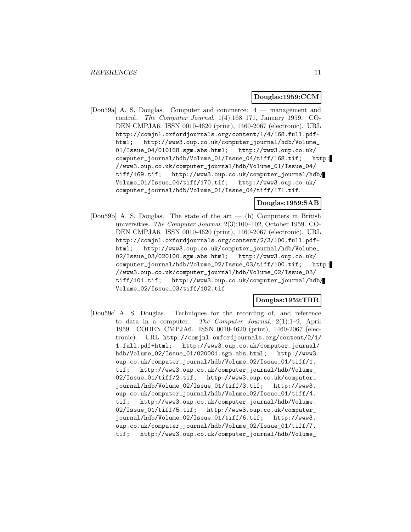#### **Douglas:1959:CCM**

[Dou59a] A. S. Douglas. Computer and commerce: 4 — management and control. The Computer Journal, 1(4):168–171, January 1959. CO-DEN CMPJA6. ISSN 0010-4620 (print), 1460-2067 (electronic). URL http://comjnl.oxfordjournals.org/content/1/4/168.full.pdf+ html; http://www3.oup.co.uk/computer\_journal/hdb/Volume\_ 01/Issue\_04/010168.sgm.abs.html; http://www3.oup.co.uk/ computer\_journal/hdb/Volume\_01/Issue\_04/tiff/168.tif; http: //www3.oup.co.uk/computer\_journal/hdb/Volume\_01/Issue\_04/ tiff/169.tif; http://www3.oup.co.uk/computer\_journal/hdb/ Volume\_01/Issue\_04/tiff/170.tif; http://www3.oup.co.uk/ computer\_journal/hdb/Volume\_01/Issue\_04/tiff/171.tif.

#### **Douglas:1959:SAB**

[Dou59b] A. S. Douglas. The state of the art — (b) Computers in British universities. The Computer Journal, 2(3):100–102, October 1959. CO-DEN CMPJA6. ISSN 0010-4620 (print), 1460-2067 (electronic). URL http://comjnl.oxfordjournals.org/content/2/3/100.full.pdf+ html; http://www3.oup.co.uk/computer\_journal/hdb/Volume\_ 02/Issue\_03/020100.sgm.abs.html; http://www3.oup.co.uk/ computer\_journal/hdb/Volume\_02/Issue\_03/tiff/100.tif; http: //www3.oup.co.uk/computer\_journal/hdb/Volume\_02/Issue\_03/ tiff/101.tif; http://www3.oup.co.uk/computer\_journal/hdb/ Volume\_02/Issue\_03/tiff/102.tif.

## **Douglas:1959:TRR**

[Dou59c] A. S. Douglas. Techniques for the recording of, and reference to data in a computer. The Computer Journal, 2(1):1–9, April 1959. CODEN CMPJA6. ISSN 0010-4620 (print), 1460-2067 (electronic). URL http://comjnl.oxfordjournals.org/content/2/1/ 1.full.pdf+html; http://www3.oup.co.uk/computer\_journal/ hdb/Volume\_02/Issue\_01/020001.sgm.abs.html; http://www3. oup.co.uk/computer\_journal/hdb/Volume\_02/Issue\_01/tiff/1. tif; http://www3.oup.co.uk/computer\_journal/hdb/Volume\_ 02/Issue\_01/tiff/2.tif; http://www3.oup.co.uk/computer\_ journal/hdb/Volume\_02/Issue\_01/tiff/3.tif; http://www3. oup.co.uk/computer\_journal/hdb/Volume\_02/Issue\_01/tiff/4. tif; http://www3.oup.co.uk/computer\_journal/hdb/Volume\_ 02/Issue\_01/tiff/5.tif; http://www3.oup.co.uk/computer\_ journal/hdb/Volume\_02/Issue\_01/tiff/6.tif; http://www3. oup.co.uk/computer\_journal/hdb/Volume\_02/Issue\_01/tiff/7. tif; http://www3.oup.co.uk/computer\_journal/hdb/Volume\_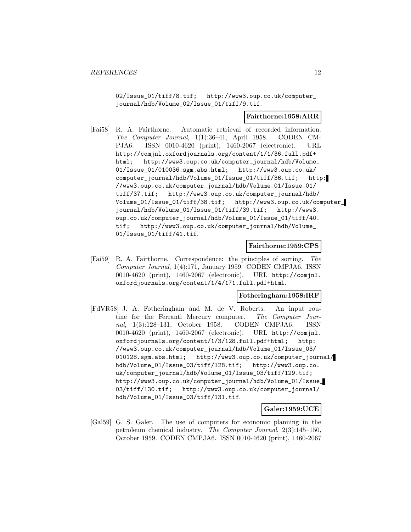02/Issue\_01/tiff/8.tif; http://www3.oup.co.uk/computer\_ journal/hdb/Volume\_02/Issue\_01/tiff/9.tif.

#### **Fairthorne:1958:ARR**

[Fai58] R. A. Fairthorne. Automatic retrieval of recorded information. The Computer Journal, 1(1):36–41, April 1958. CODEN CM-PJA6. ISSN 0010-4620 (print), 1460-2067 (electronic). URL http://comjnl.oxfordjournals.org/content/1/1/36.full.pdf+ html; http://www3.oup.co.uk/computer\_journal/hdb/Volume\_ 01/Issue\_01/010036.sgm.abs.html; http://www3.oup.co.uk/ computer\_journal/hdb/Volume\_01/Issue\_01/tiff/36.tif; http: //www3.oup.co.uk/computer\_journal/hdb/Volume\_01/Issue\_01/ tiff/37.tif; http://www3.oup.co.uk/computer\_journal/hdb/ Volume\_01/Issue\_01/tiff/38.tif; http://www3.oup.co.uk/computer\_ journal/hdb/Volume\_01/Issue\_01/tiff/39.tif; http://www3. oup.co.uk/computer\_journal/hdb/Volume\_01/Issue\_01/tiff/40. tif; http://www3.oup.co.uk/computer\_journal/hdb/Volume\_ 01/Issue\_01/tiff/41.tif.

#### **Fairthorne:1959:CPS**

[Fai59] R. A. Fairthorne. Correspondence: the principles of sorting. The Computer Journal, 1(4):171, January 1959. CODEN CMPJA6. ISSN 0010-4620 (print), 1460-2067 (electronic). URL http://comjnl. oxfordjournals.org/content/1/4/171.full.pdf+html.

## **Fotheringham:1958:IRF**

[FdVR58] J. A. Fotheringham and M. de V. Roberts. An input routine for the Ferranti Mercury computer. The Computer Journal, 1(3):128–131, October 1958. CODEN CMPJA6. ISSN 0010-4620 (print), 1460-2067 (electronic). URL http://comjnl. oxfordjournals.org/content/1/3/128.full.pdf+html; http: //www3.oup.co.uk/computer\_journal/hdb/Volume\_01/Issue\_03/ 010128.sgm.abs.html; http://www3.oup.co.uk/computer\_journal/ hdb/Volume\_01/Issue\_03/tiff/128.tif; http://www3.oup.co. uk/computer\_journal/hdb/Volume\_01/Issue\_03/tiff/129.tif; http://www3.oup.co.uk/computer\_journal/hdb/Volume\_01/Issue\_ 03/tiff/130.tif; http://www3.oup.co.uk/computer\_journal/ hdb/Volume\_01/Issue\_03/tiff/131.tif.

## **Galer:1959:UCE**

[Gal59] G. S. Galer. The use of computers for economic planning in the petroleum chemical industry. The Computer Journal, 2(3):145–150, October 1959. CODEN CMPJA6. ISSN 0010-4620 (print), 1460-2067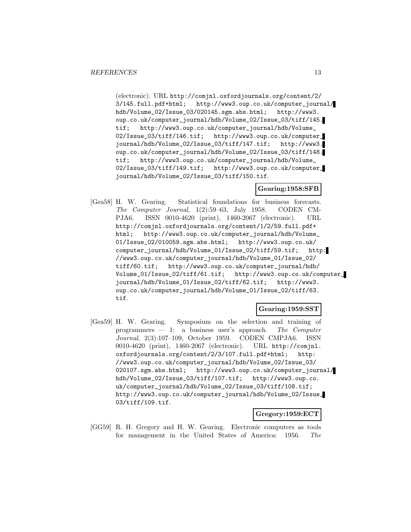(electronic). URL http://comjnl.oxfordjournals.org/content/2/ 3/145.full.pdf+html; http://www3.oup.co.uk/computer\_journal/ hdb/Volume\_02/Issue\_03/020145.sgm.abs.html; http://www3. oup.co.uk/computer\_journal/hdb/Volume\_02/Issue\_03/tiff/145. tif; http://www3.oup.co.uk/computer\_journal/hdb/Volume\_ 02/Issue\_03/tiff/146.tif; http://www3.oup.co.uk/computer\_ journal/hdb/Volume\_02/Issue\_03/tiff/147.tif; http://www3. oup.co.uk/computer\_journal/hdb/Volume\_02/Issue\_03/tiff/148. tif; http://www3.oup.co.uk/computer\_journal/hdb/Volume\_ 02/Issue\_03/tiff/149.tif; http://www3.oup.co.uk/computer\_ journal/hdb/Volume\_02/Issue\_03/tiff/150.tif.

## **Gearing:1958:SFB**

[Gea58] H. W. Gearing. Statistical foundations for business forecasts. The Computer Journal, 1(2):59–63, July 1958. CODEN CM-PJA6. ISSN 0010-4620 (print), 1460-2067 (electronic). URL http://comjnl.oxfordjournals.org/content/1/2/59.full.pdf+ html; http://www3.oup.co.uk/computer\_journal/hdb/Volume\_ 01/Issue\_02/010059.sgm.abs.html; http://www3.oup.co.uk/ computer\_journal/hdb/Volume\_01/Issue\_02/tiff/59.tif; http: //www3.oup.co.uk/computer\_journal/hdb/Volume\_01/Issue\_02/ tiff/60.tif; http://www3.oup.co.uk/computer\_journal/hdb/ Volume\_01/Issue\_02/tiff/61.tif; http://www3.oup.co.uk/computer\_ journal/hdb/Volume\_01/Issue\_02/tiff/62.tif; http://www3. oup.co.uk/computer\_journal/hdb/Volume\_01/Issue\_02/tiff/63. tif.

## **Gearing:1959:SST**

[Gea59] H. W. Gearing. Symposium on the selection and training of programmers  $-1$ : a business user's approach. The Computer Journal, 2(3):107–109, October 1959. CODEN CMPJA6. ISSN 0010-4620 (print), 1460-2067 (electronic). URL http://comjnl. oxfordjournals.org/content/2/3/107.full.pdf+html; http: //www3.oup.co.uk/computer\_journal/hdb/Volume\_02/Issue\_03/ 020107.sgm.abs.html; http://www3.oup.co.uk/computer\_journal/ hdb/Volume\_02/Issue\_03/tiff/107.tif; http://www3.oup.co. uk/computer\_journal/hdb/Volume\_02/Issue\_03/tiff/108.tif; http://www3.oup.co.uk/computer\_journal/hdb/Volume\_02/Issue\_ 03/tiff/109.tif.

## **Gregory:1959:ECT**

[GG59] R. H. Gregory and H. W. Gearing. Electronic computers as tools for management in the United States of America: 1956. The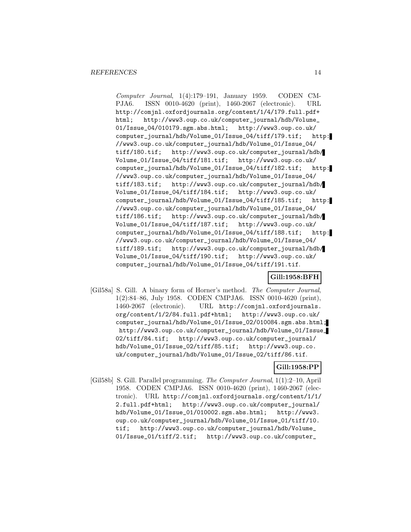Computer Journal, 1(4):179–191, January 1959. CODEN CM-PJA6. ISSN 0010-4620 (print), 1460-2067 (electronic). URL http://comjnl.oxfordjournals.org/content/1/4/179.full.pdf+ html; http://www3.oup.co.uk/computer\_journal/hdb/Volume\_ 01/Issue\_04/010179.sgm.abs.html; http://www3.oup.co.uk/ computer\_journal/hdb/Volume\_01/Issue\_04/tiff/179.tif; http: //www3.oup.co.uk/computer\_journal/hdb/Volume\_01/Issue\_04/ tiff/180.tif; http://www3.oup.co.uk/computer\_journal/hdb/ Volume\_01/Issue\_04/tiff/181.tif; http://www3.oup.co.uk/ computer\_journal/hdb/Volume\_01/Issue\_04/tiff/182.tif; http: //www3.oup.co.uk/computer\_journal/hdb/Volume\_01/Issue\_04/ tiff/183.tif; http://www3.oup.co.uk/computer\_journal/hdb/ Volume\_01/Issue\_04/tiff/184.tif; http://www3.oup.co.uk/ computer\_journal/hdb/Volume\_01/Issue\_04/tiff/185.tif; http: //www3.oup.co.uk/computer\_journal/hdb/Volume\_01/Issue\_04/ tiff/186.tif; http://www3.oup.co.uk/computer\_journal/hdb/ Volume\_01/Issue\_04/tiff/187.tif; http://www3.oup.co.uk/ computer\_journal/hdb/Volume\_01/Issue\_04/tiff/188.tif; http: //www3.oup.co.uk/computer\_journal/hdb/Volume\_01/Issue\_04/ tiff/189.tif; http://www3.oup.co.uk/computer\_journal/hdb/ Volume\_01/Issue\_04/tiff/190.tif; http://www3.oup.co.uk/ computer\_journal/hdb/Volume\_01/Issue\_04/tiff/191.tif.

## **Gill:1958:BFH**

[Gil58a] S. Gill. A binary form of Horner's method. The Computer Journal, 1(2):84-86, July 1958. CODEN CMPJA6. ISSN 0010-4620 (print), 1460-2067 (electronic). URL http://comjnl.oxfordjournals. URL http://comjnl.oxfordjournals. org/content/1/2/84.full.pdf+html; http://www3.oup.co.uk/ computer\_journal/hdb/Volume\_01/Issue\_02/010084.sgm.abs.html; http://www3.oup.co.uk/computer\_journal/hdb/Volume\_01/Issue\_ 02/tiff/84.tif; http://www3.oup.co.uk/computer\_journal/ hdb/Volume\_01/Issue\_02/tiff/85.tif; http://www3.oup.co. uk/computer\_journal/hdb/Volume\_01/Issue\_02/tiff/86.tif.

#### **Gill:1958:PP**

[Gil58b] S. Gill. Parallel programming. The Computer Journal, 1(1):2–10, April 1958. CODEN CMPJA6. ISSN 0010-4620 (print), 1460-2067 (electronic). URL http://comjnl.oxfordjournals.org/content/1/1/ 2.full.pdf+html; http://www3.oup.co.uk/computer\_journal/ hdb/Volume\_01/Issue\_01/010002.sgm.abs.html; http://www3. oup.co.uk/computer\_journal/hdb/Volume\_01/Issue\_01/tiff/10. tif; http://www3.oup.co.uk/computer\_journal/hdb/Volume\_ 01/Issue\_01/tiff/2.tif; http://www3.oup.co.uk/computer\_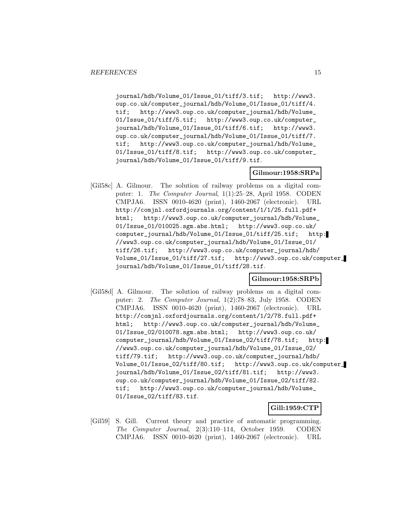journal/hdb/Volume\_01/Issue\_01/tiff/3.tif; http://www3. oup.co.uk/computer\_journal/hdb/Volume\_01/Issue\_01/tiff/4. tif; http://www3.oup.co.uk/computer\_journal/hdb/Volume\_ 01/Issue\_01/tiff/5.tif; http://www3.oup.co.uk/computer\_ journal/hdb/Volume\_01/Issue\_01/tiff/6.tif; http://www3. oup.co.uk/computer\_journal/hdb/Volume\_01/Issue\_01/tiff/7. tif; http://www3.oup.co.uk/computer\_journal/hdb/Volume\_ 01/Issue\_01/tiff/8.tif; http://www3.oup.co.uk/computer\_ journal/hdb/Volume\_01/Issue\_01/tiff/9.tif.

## **Gilmour:1958:SRPa**

[Gil58c] A. Gilmour. The solution of railway problems on a digital computer: 1. The Computer Journal, 1(1):25–28, April 1958. CODEN CMPJA6. ISSN 0010-4620 (print), 1460-2067 (electronic). URL http://comjnl.oxfordjournals.org/content/1/1/25.full.pdf+ html; http://www3.oup.co.uk/computer\_journal/hdb/Volume\_ 01/Issue\_01/010025.sgm.abs.html; http://www3.oup.co.uk/ computer\_journal/hdb/Volume\_01/Issue\_01/tiff/25.tif; http: //www3.oup.co.uk/computer\_journal/hdb/Volume\_01/Issue\_01/ tiff/26.tif; http://www3.oup.co.uk/computer\_journal/hdb/ Volume\_01/Issue\_01/tiff/27.tif; http://www3.oup.co.uk/computer\_ journal/hdb/Volume\_01/Issue\_01/tiff/28.tif.

#### **Gilmour:1958:SRPb**

[Gil58d] A. Gilmour. The solution of railway problems on a digital computer: 2. The Computer Journal, 1(2):78–83, July 1958. CODEN CMPJA6. ISSN 0010-4620 (print), 1460-2067 (electronic). URL http://comjnl.oxfordjournals.org/content/1/2/78.full.pdf+ html; http://www3.oup.co.uk/computer\_journal/hdb/Volume\_ 01/Issue\_02/010078.sgm.abs.html; http://www3.oup.co.uk/ computer\_journal/hdb/Volume\_01/Issue\_02/tiff/78.tif; http: //www3.oup.co.uk/computer\_journal/hdb/Volume\_01/Issue\_02/ tiff/79.tif; http://www3.oup.co.uk/computer\_journal/hdb/ Volume\_01/Issue\_02/tiff/80.tif; http://www3.oup.co.uk/computer\_ journal/hdb/Volume\_01/Issue\_02/tiff/81.tif; http://www3. oup.co.uk/computer\_journal/hdb/Volume\_01/Issue\_02/tiff/82. tif; http://www3.oup.co.uk/computer\_journal/hdb/Volume\_ 01/Issue\_02/tiff/83.tif.

#### **Gill:1959:CTP**

[Gil59] S. Gill. Current theory and practice of automatic programming. The Computer Journal, 2(3):110–114, October 1959. CODEN CMPJA6. ISSN 0010-4620 (print), 1460-2067 (electronic). URL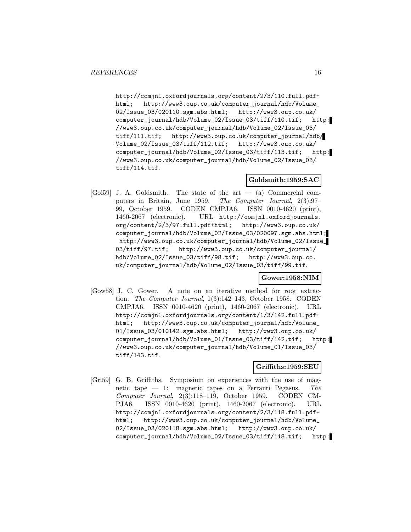http://comjnl.oxfordjournals.org/content/2/3/110.full.pdf+ html; http://www3.oup.co.uk/computer\_journal/hdb/Volume\_ 02/Issue\_03/020110.sgm.abs.html; http://www3.oup.co.uk/ computer\_journal/hdb/Volume\_02/Issue\_03/tiff/110.tif; http: //www3.oup.co.uk/computer\_journal/hdb/Volume\_02/Issue\_03/ tiff/111.tif; http://www3.oup.co.uk/computer\_journal/hdb/ Volume\_02/Issue\_03/tiff/112.tif; http://www3.oup.co.uk/ computer\_journal/hdb/Volume\_02/Issue\_03/tiff/113.tif; http: //www3.oup.co.uk/computer\_journal/hdb/Volume\_02/Issue\_03/ tiff/114.tif.

# **Goldsmith:1959:SAC**

[Gol59] J. A. Goldsmith. The state of the art — (a) Commercial computers in Britain, June 1959. The Computer Journal, 2(3):97– 99, October 1959. CODEN CMPJA6. ISSN 0010-4620 (print), 1460-2067 (electronic). URL http://comjnl.oxfordjournals. org/content/2/3/97.full.pdf+html; http://www3.oup.co.uk/ computer\_journal/hdb/Volume\_02/Issue\_03/020097.sgm.abs.html; http://www3.oup.co.uk/computer\_journal/hdb/Volume\_02/Issue\_ 03/tiff/97.tif; http://www3.oup.co.uk/computer\_journal/ hdb/Volume\_02/Issue\_03/tiff/98.tif; http://www3.oup.co. uk/computer\_journal/hdb/Volume\_02/Issue\_03/tiff/99.tif.

**Gower:1958:NIM**

[Gow58] J. C. Gower. A note on an iterative method for root extraction. The Computer Journal, 1(3):142–143, October 1958. CODEN CMPJA6. ISSN 0010-4620 (print), 1460-2067 (electronic). URL http://comjnl.oxfordjournals.org/content/1/3/142.full.pdf+ html; http://www3.oup.co.uk/computer\_journal/hdb/Volume\_ 01/Issue\_03/010142.sgm.abs.html; http://www3.oup.co.uk/ computer\_journal/hdb/Volume\_01/Issue\_03/tiff/142.tif; http: //www3.oup.co.uk/computer\_journal/hdb/Volume\_01/Issue\_03/ tiff/143.tif.

#### **Griffiths:1959:SEU**

[Gri59] G. B. Griffiths. Symposium on experiences with the use of magnetic tape — 1: magnetic tapes on a Ferranti Pegasus. The Computer Journal, 2(3):118–119, October 1959. CODEN CM-PJA6. ISSN 0010-4620 (print), 1460-2067 (electronic). URL http://comjnl.oxfordjournals.org/content/2/3/118.full.pdf+ html; http://www3.oup.co.uk/computer\_journal/hdb/Volume\_ 02/Issue\_03/020118.sgm.abs.html; http://www3.oup.co.uk/ computer\_journal/hdb/Volume\_02/Issue\_03/tiff/118.tif; http: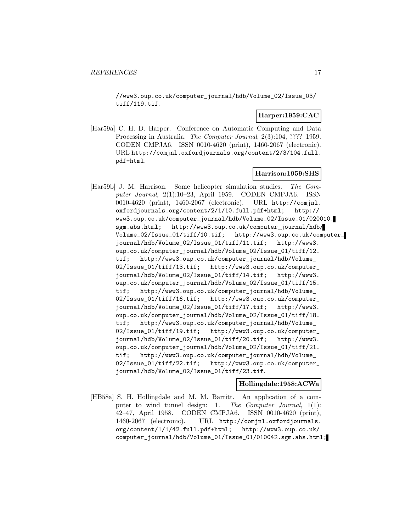//www3.oup.co.uk/computer\_journal/hdb/Volume\_02/Issue\_03/ tiff/119.tif.

## **Harper:1959:CAC**

[Har59a] C. H. D. Harper. Conference on Automatic Computing and Data Processing in Australia. The Computer Journal, 2(3):104, ???? 1959. CODEN CMPJA6. ISSN 0010-4620 (print), 1460-2067 (electronic). URL http://comjnl.oxfordjournals.org/content/2/3/104.full. pdf+html.

## **Harrison:1959:SHS**

[Har59b] J. M. Harrison. Some helicopter simulation studies. The Computer Journal, 2(1):10–23, April 1959. CODEN CMPJA6. ISSN 0010-4620 (print), 1460-2067 (electronic). URL http://comjnl. oxfordjournals.org/content/2/1/10.full.pdf+html; http:// www3.oup.co.uk/computer\_journal/hdb/Volume\_02/Issue\_01/020010. sgm.abs.html; http://www3.oup.co.uk/computer\_journal/hdb/ Volume\_02/Issue\_01/tiff/10.tif; http://www3.oup.co.uk/computer\_ journal/hdb/Volume\_02/Issue\_01/tiff/11.tif; http://www3. oup.co.uk/computer\_journal/hdb/Volume\_02/Issue\_01/tiff/12. tif; http://www3.oup.co.uk/computer\_journal/hdb/Volume\_ 02/Issue\_01/tiff/13.tif; http://www3.oup.co.uk/computer\_ journal/hdb/Volume\_02/Issue\_01/tiff/14.tif; http://www3. oup.co.uk/computer\_journal/hdb/Volume\_02/Issue\_01/tiff/15. tif; http://www3.oup.co.uk/computer\_journal/hdb/Volume\_ 02/Issue\_01/tiff/16.tif; http://www3.oup.co.uk/computer\_ journal/hdb/Volume\_02/Issue\_01/tiff/17.tif; http://www3. oup.co.uk/computer\_journal/hdb/Volume\_02/Issue\_01/tiff/18. tif; http://www3.oup.co.uk/computer\_journal/hdb/Volume\_ 02/Issue\_01/tiff/19.tif; http://www3.oup.co.uk/computer\_ journal/hdb/Volume\_02/Issue\_01/tiff/20.tif; http://www3. oup.co.uk/computer\_journal/hdb/Volume\_02/Issue\_01/tiff/21. tif; http://www3.oup.co.uk/computer\_journal/hdb/Volume\_ 02/Issue\_01/tiff/22.tif; http://www3.oup.co.uk/computer\_ journal/hdb/Volume\_02/Issue\_01/tiff/23.tif.

## **Hollingdale:1958:ACWa**

[HB58a] S. H. Hollingdale and M. M. Barritt. An application of a computer to wind tunnel design: 1. The Computer Journal, 1(1): 42–47, April 1958. CODEN CMPJA6. ISSN 0010-4620 (print), 1460-2067 (electronic). URL http://comjnl.oxfordjournals. org/content/1/1/42.full.pdf+html; http://www3.oup.co.uk/ computer\_journal/hdb/Volume\_01/Issue\_01/010042.sgm.abs.html;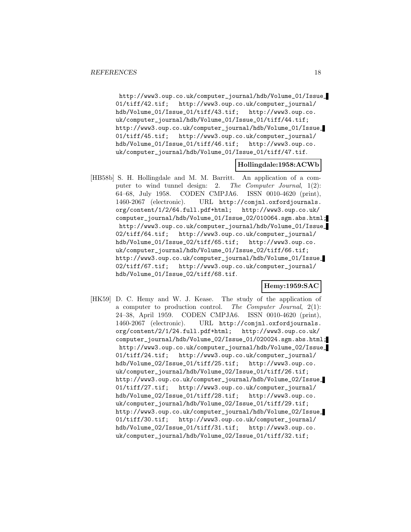http://www3.oup.co.uk/computer\_journal/hdb/Volume\_01/Issue\_ 01/tiff/42.tif; http://www3.oup.co.uk/computer\_journal/ hdb/Volume\_01/Issue\_01/tiff/43.tif; http://www3.oup.co. uk/computer\_journal/hdb/Volume\_01/Issue\_01/tiff/44.tif; http://www3.oup.co.uk/computer\_journal/hdb/Volume\_01/Issue\_ 01/tiff/45.tif; http://www3.oup.co.uk/computer\_journal/ hdb/Volume\_01/Issue\_01/tiff/46.tif; http://www3.oup.co. uk/computer\_journal/hdb/Volume\_01/Issue\_01/tiff/47.tif.

## **Hollingdale:1958:ACWb**

[HB58b] S. H. Hollingdale and M. M. Barritt. An application of a computer to wind tunnel design: 2. The Computer Journal, 1(2): 64–68, July 1958. CODEN CMPJA6. ISSN 0010-4620 (print), 1460-2067 (electronic). URL http://comjnl.oxfordjournals. org/content/1/2/64.full.pdf+html; http://www3.oup.co.uk/ computer\_journal/hdb/Volume\_01/Issue\_02/010064.sgm.abs.html; http://www3.oup.co.uk/computer\_journal/hdb/Volume\_01/Issue\_ 02/tiff/64.tif; http://www3.oup.co.uk/computer\_journal/ hdb/Volume\_01/Issue\_02/tiff/65.tif; http://www3.oup.co. uk/computer\_journal/hdb/Volume\_01/Issue\_02/tiff/66.tif; http://www3.oup.co.uk/computer\_journal/hdb/Volume\_01/Issue\_ 02/tiff/67.tif; http://www3.oup.co.uk/computer\_journal/ hdb/Volume\_01/Issue\_02/tiff/68.tif.

#### **Hemy:1959:SAC**

[HK59] D. C. Hemy and W. J. Kease. The study of the application of a computer to production control. The Computer Journal, 2(1): 24–38, April 1959. CODEN CMPJA6. ISSN 0010-4620 (print), 1460-2067 (electronic). URL http://comjnl.oxfordjournals. org/content/2/1/24.full.pdf+html; http://www3.oup.co.uk/ computer\_journal/hdb/Volume\_02/Issue\_01/020024.sgm.abs.html; http://www3.oup.co.uk/computer\_journal/hdb/Volume\_02/Issue\_ 01/tiff/24.tif; http://www3.oup.co.uk/computer\_journal/ hdb/Volume\_02/Issue\_01/tiff/25.tif; http://www3.oup.co. uk/computer\_journal/hdb/Volume\_02/Issue\_01/tiff/26.tif; http://www3.oup.co.uk/computer\_journal/hdb/Volume\_02/Issue\_ 01/tiff/27.tif; http://www3.oup.co.uk/computer\_journal/ hdb/Volume\_02/Issue\_01/tiff/28.tif; http://www3.oup.co. uk/computer\_journal/hdb/Volume\_02/Issue\_01/tiff/29.tif; http://www3.oup.co.uk/computer\_journal/hdb/Volume\_02/Issue\_ 01/tiff/30.tif; http://www3.oup.co.uk/computer\_journal/ hdb/Volume\_02/Issue\_01/tiff/31.tif; http://www3.oup.co. uk/computer\_journal/hdb/Volume\_02/Issue\_01/tiff/32.tif;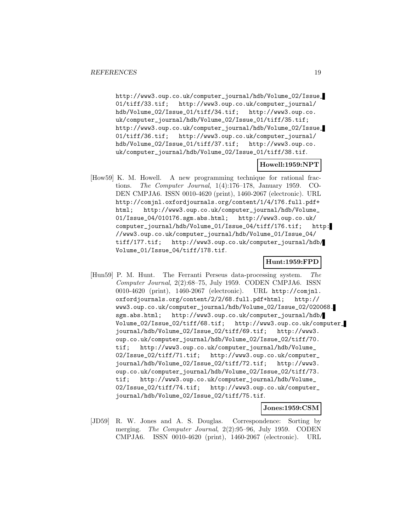http://www3.oup.co.uk/computer\_journal/hdb/Volume\_02/Issue\_ 01/tiff/33.tif; http://www3.oup.co.uk/computer\_journal/ hdb/Volume\_02/Issue\_01/tiff/34.tif; http://www3.oup.co. uk/computer\_journal/hdb/Volume\_02/Issue\_01/tiff/35.tif; http://www3.oup.co.uk/computer\_journal/hdb/Volume\_02/Issue\_ 01/tiff/36.tif; http://www3.oup.co.uk/computer\_journal/ hdb/Volume\_02/Issue\_01/tiff/37.tif; http://www3.oup.co. uk/computer\_journal/hdb/Volume\_02/Issue\_01/tiff/38.tif.

## **Howell:1959:NPT**

[How59] K. M. Howell. A new programming technique for rational fractions. The Computer Journal, 1(4):176–178, January 1959. CO-DEN CMPJA6. ISSN 0010-4620 (print), 1460-2067 (electronic). URL http://comjnl.oxfordjournals.org/content/1/4/176.full.pdf+ html; http://www3.oup.co.uk/computer\_journal/hdb/Volume\_ 01/Issue\_04/010176.sgm.abs.html; http://www3.oup.co.uk/ computer\_journal/hdb/Volume\_01/Issue\_04/tiff/176.tif; http: //www3.oup.co.uk/computer\_journal/hdb/Volume\_01/Issue\_04/ tiff/177.tif; http://www3.oup.co.uk/computer\_journal/hdb/ Volume\_01/Issue\_04/tiff/178.tif.

#### **Hunt:1959:FPD**

[Hun59] P. M. Hunt. The Ferranti Perseus data-processing system. The Computer Journal, 2(2):68–75, July 1959. CODEN CMPJA6. ISSN 0010-4620 (print), 1460-2067 (electronic). URL http://comjnl. oxfordjournals.org/content/2/2/68.full.pdf+html; http:// www3.oup.co.uk/computer\_journal/hdb/Volume\_02/Issue\_02/020068. sgm.abs.html; http://www3.oup.co.uk/computer\_journal/hdb/ Volume\_02/Issue\_02/tiff/68.tif; http://www3.oup.co.uk/computer\_ journal/hdb/Volume\_02/Issue\_02/tiff/69.tif; http://www3. oup.co.uk/computer\_journal/hdb/Volume\_02/Issue\_02/tiff/70. tif; http://www3.oup.co.uk/computer\_journal/hdb/Volume\_ 02/Issue\_02/tiff/71.tif; http://www3.oup.co.uk/computer\_ journal/hdb/Volume\_02/Issue\_02/tiff/72.tif; http://www3. oup.co.uk/computer\_journal/hdb/Volume\_02/Issue\_02/tiff/73. tif; http://www3.oup.co.uk/computer\_journal/hdb/Volume\_ 02/Issue\_02/tiff/74.tif; http://www3.oup.co.uk/computer\_ journal/hdb/Volume\_02/Issue\_02/tiff/75.tif.

#### **Jones:1959:CSM**

[JD59] R. W. Jones and A. S. Douglas. Correspondence: Sorting by merging. The Computer Journal, 2(2):95–96, July 1959. CODEN CMPJA6. ISSN 0010-4620 (print), 1460-2067 (electronic). URL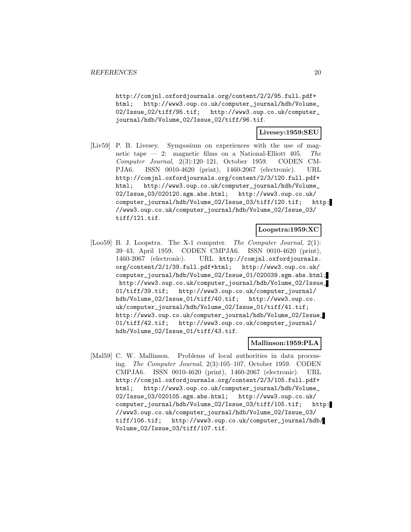http://comjnl.oxfordjournals.org/content/2/2/95.full.pdf+ html; http://www3.oup.co.uk/computer\_journal/hdb/Volume\_ 02/Issue\_02/tiff/95.tif; http://www3.oup.co.uk/computer\_ journal/hdb/Volume\_02/Issue\_02/tiff/96.tif.

#### **Livesey:1959:SEU**

[Liv59] P. B. Livesey. Symposium on experiences with the use of magnetic tape — 2: magnetic films on a National-Elliott 405. The Computer Journal, 2(3):120–121, October 1959. CODEN CM-PJA6. ISSN 0010-4620 (print), 1460-2067 (electronic). URL http://comjnl.oxfordjournals.org/content/2/3/120.full.pdf+ html; http://www3.oup.co.uk/computer\_journal/hdb/Volume\_ 02/Issue\_03/020120.sgm.abs.html; http://www3.oup.co.uk/ computer\_journal/hdb/Volume\_02/Issue\_03/tiff/120.tif; http: //www3.oup.co.uk/computer\_journal/hdb/Volume\_02/Issue\_03/ tiff/121.tif.

#### **Loopstra:1959:XC**

[Loo59] B. J. Loopstra. The X-1 computer. The Computer Journal, 2(1): 39–43, April 1959. CODEN CMPJA6. ISSN 0010-4620 (print), 1460-2067 (electronic). URL http://comjnl.oxfordjournals. org/content/2/1/39.full.pdf+html; http://www3.oup.co.uk/ computer\_journal/hdb/Volume\_02/Issue\_01/020039.sgm.abs.html; http://www3.oup.co.uk/computer\_journal/hdb/Volume\_02/Issue\_ 01/tiff/39.tif; http://www3.oup.co.uk/computer\_journal/ hdb/Volume\_02/Issue\_01/tiff/40.tif; http://www3.oup.co. uk/computer\_journal/hdb/Volume\_02/Issue\_01/tiff/41.tif; http://www3.oup.co.uk/computer\_journal/hdb/Volume\_02/Issue\_ 01/tiff/42.tif; http://www3.oup.co.uk/computer\_journal/ hdb/Volume\_02/Issue\_01/tiff/43.tif.

## **Mallinson:1959:PLA**

[Mal59] C. W. Mallinson. Problems of local authorities in data processing. The Computer Journal, 2(3):105–107, October 1959. CODEN CMPJA6. ISSN 0010-4620 (print), 1460-2067 (electronic). URL http://comjnl.oxfordjournals.org/content/2/3/105.full.pdf+ html; http://www3.oup.co.uk/computer\_journal/hdb/Volume\_ 02/Issue\_03/020105.sgm.abs.html; http://www3.oup.co.uk/ computer\_journal/hdb/Volume\_02/Issue\_03/tiff/105.tif; http: //www3.oup.co.uk/computer\_journal/hdb/Volume\_02/Issue\_03/ tiff/106.tif; http://www3.oup.co.uk/computer\_journal/hdb/ Volume\_02/Issue\_03/tiff/107.tif.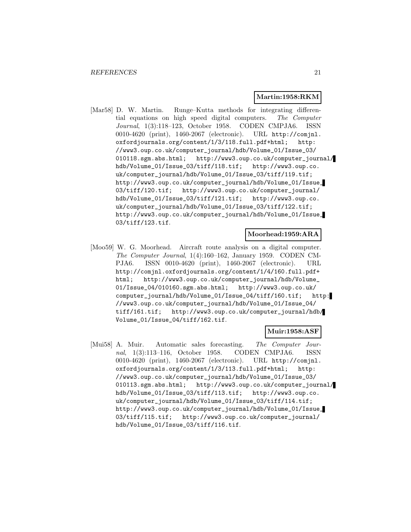#### **Martin:1958:RKM**

[Mar58] D. W. Martin. Runge–Kutta methods for integrating differential equations on high speed digital computers. The Computer Journal, 1(3):118–123, October 1958. CODEN CMPJA6. ISSN 0010-4620 (print), 1460-2067 (electronic). URL http://comjnl. oxfordjournals.org/content/1/3/118.full.pdf+html; http: //www3.oup.co.uk/computer\_journal/hdb/Volume\_01/Issue\_03/ 010118.sgm.abs.html; http://www3.oup.co.uk/computer\_journal/ hdb/Volume\_01/Issue\_03/tiff/118.tif; http://www3.oup.co. uk/computer\_journal/hdb/Volume\_01/Issue\_03/tiff/119.tif; http://www3.oup.co.uk/computer\_journal/hdb/Volume\_01/Issue\_ 03/tiff/120.tif; http://www3.oup.co.uk/computer\_journal/ hdb/Volume\_01/Issue\_03/tiff/121.tif; http://www3.oup.co. uk/computer\_journal/hdb/Volume\_01/Issue\_03/tiff/122.tif; http://www3.oup.co.uk/computer\_journal/hdb/Volume\_01/Issue\_ 03/tiff/123.tif.

## **Moorhead:1959:ARA**

[Moo59] W. G. Moorhead. Aircraft route analysis on a digital computer. The Computer Journal, 1(4):160–162, January 1959. CODEN CM-PJA6. ISSN 0010-4620 (print), 1460-2067 (electronic). URL http://comjnl.oxfordjournals.org/content/1/4/160.full.pdf+ html; http://www3.oup.co.uk/computer\_journal/hdb/Volume\_ 01/Issue\_04/010160.sgm.abs.html; http://www3.oup.co.uk/ computer\_journal/hdb/Volume\_01/Issue\_04/tiff/160.tif; http: //www3.oup.co.uk/computer\_journal/hdb/Volume\_01/Issue\_04/ tiff/161.tif; http://www3.oup.co.uk/computer\_journal/hdb/ Volume\_01/Issue\_04/tiff/162.tif.

#### **Muir:1958:ASF**

[Mui58] A. Muir. Automatic sales forecasting. The Computer Journal, 1(3):113–116, October 1958. CODEN CMPJA6. ISSN 0010-4620 (print), 1460-2067 (electronic). URL http://comjnl. oxfordjournals.org/content/1/3/113.full.pdf+html; http: //www3.oup.co.uk/computer\_journal/hdb/Volume\_01/Issue\_03/ 010113.sgm.abs.html; http://www3.oup.co.uk/computer\_journal/ hdb/Volume\_01/Issue\_03/tiff/113.tif; http://www3.oup.co. uk/computer\_journal/hdb/Volume\_01/Issue\_03/tiff/114.tif; http://www3.oup.co.uk/computer\_journal/hdb/Volume\_01/Issue\_ 03/tiff/115.tif; http://www3.oup.co.uk/computer\_journal/ hdb/Volume\_01/Issue\_03/tiff/116.tif.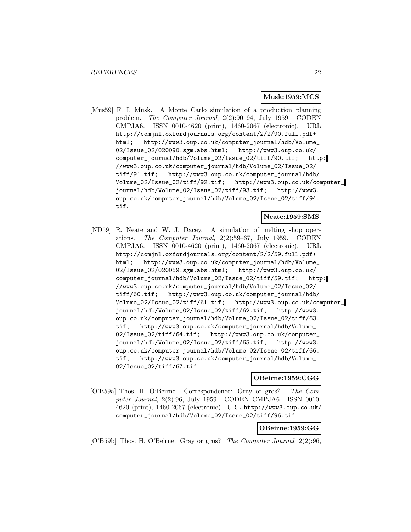#### **Musk:1959:MCS**

[Mus59] F. I. Musk. A Monte Carlo simulation of a production planning problem. The Computer Journal, 2(2):90–94, July 1959. CODEN CMPJA6. ISSN 0010-4620 (print), 1460-2067 (electronic). URL http://comjnl.oxfordjournals.org/content/2/2/90.full.pdf+ html; http://www3.oup.co.uk/computer\_journal/hdb/Volume\_ 02/Issue\_02/020090.sgm.abs.html; http://www3.oup.co.uk/ computer\_journal/hdb/Volume\_02/Issue\_02/tiff/90.tif; http: //www3.oup.co.uk/computer\_journal/hdb/Volume\_02/Issue\_02/ tiff/91.tif; http://www3.oup.co.uk/computer\_journal/hdb/ Volume\_02/Issue\_02/tiff/92.tif; http://www3.oup.co.uk/computer\_ journal/hdb/Volume\_02/Issue\_02/tiff/93.tif; http://www3. oup.co.uk/computer\_journal/hdb/Volume\_02/Issue\_02/tiff/94. tif.

**Neate:1959:SMS**

[ND59] R. Neate and W. J. Dacey. A simulation of melting shop operations. The Computer Journal, 2(2):59–67, July 1959. CODEN CMPJA6. ISSN 0010-4620 (print), 1460-2067 (electronic). URL http://comjnl.oxfordjournals.org/content/2/2/59.full.pdf+ html; http://www3.oup.co.uk/computer\_journal/hdb/Volume\_ 02/Issue\_02/020059.sgm.abs.html; http://www3.oup.co.uk/ computer\_journal/hdb/Volume\_02/Issue\_02/tiff/59.tif; http: //www3.oup.co.uk/computer\_journal/hdb/Volume\_02/Issue\_02/ tiff/60.tif; http://www3.oup.co.uk/computer\_journal/hdb/ Volume\_02/Issue\_02/tiff/61.tif; http://www3.oup.co.uk/computer\_ journal/hdb/Volume\_02/Issue\_02/tiff/62.tif; http://www3. oup.co.uk/computer\_journal/hdb/Volume\_02/Issue\_02/tiff/63. tif; http://www3.oup.co.uk/computer\_journal/hdb/Volume\_ 02/Issue\_02/tiff/64.tif; http://www3.oup.co.uk/computer\_ journal/hdb/Volume\_02/Issue\_02/tiff/65.tif; http://www3. oup.co.uk/computer\_journal/hdb/Volume\_02/Issue\_02/tiff/66. tif; http://www3.oup.co.uk/computer\_journal/hdb/Volume\_ 02/Issue\_02/tiff/67.tif.

**OBeirne:1959:CGG**

[O'B59a] Thos. H. O'Beirne. Correspondence: Gray or gros? The Computer Journal, 2(2):96, July 1959. CODEN CMPJA6. ISSN 0010- 4620 (print), 1460-2067 (electronic). URL http://www3.oup.co.uk/ computer\_journal/hdb/Volume\_02/Issue\_02/tiff/96.tif.

## **OBeirne:1959:GG**

[O'B59b] Thos. H. O'Beirne. Gray or gros? The Computer Journal, 2(2):96,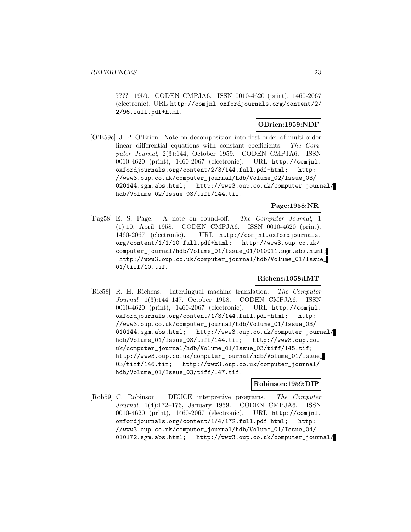???? 1959. CODEN CMPJA6. ISSN 0010-4620 (print), 1460-2067 (electronic). URL http://comjnl.oxfordjournals.org/content/2/ 2/96.full.pdf+html.

## **OBrien:1959:NDF**

[O'B59c] J. P. O'Brien. Note on decomposition into first order of multi-order linear differential equations with constant coefficients. The Computer Journal, 2(3):144, October 1959. CODEN CMPJA6. ISSN 0010-4620 (print), 1460-2067 (electronic). URL http://comjnl. oxfordjournals.org/content/2/3/144.full.pdf+html; http: //www3.oup.co.uk/computer\_journal/hdb/Volume\_02/Issue\_03/ 020144.sgm.abs.html; http://www3.oup.co.uk/computer\_journal/ hdb/Volume\_02/Issue\_03/tiff/144.tif.

## **Page:1958:NR**

[Pag58] E. S. Page. A note on round-off. The Computer Journal, 1 (1):10, April 1958. CODEN CMPJA6. ISSN 0010-4620 (print), 1460-2067 (electronic). URL http://comjnl.oxfordjournals. org/content/1/1/10.full.pdf+html; http://www3.oup.co.uk/ computer\_journal/hdb/Volume\_01/Issue\_01/010011.sgm.abs.html; http://www3.oup.co.uk/computer\_journal/hdb/Volume\_01/Issue\_ 01/tiff/10.tif.

## **Richens:1958:IMT**

[Ric58] R. H. Richens. Interlingual machine translation. The Computer Journal, 1(3):144–147, October 1958. CODEN CMPJA6. ISSN 0010-4620 (print), 1460-2067 (electronic). URL http://comjnl. oxfordjournals.org/content/1/3/144.full.pdf+html; http: //www3.oup.co.uk/computer\_journal/hdb/Volume\_01/Issue\_03/ 010144.sgm.abs.html; http://www3.oup.co.uk/computer\_journal/ hdb/Volume\_01/Issue\_03/tiff/144.tif; http://www3.oup.co. uk/computer\_journal/hdb/Volume\_01/Issue\_03/tiff/145.tif; http://www3.oup.co.uk/computer\_journal/hdb/Volume\_01/Issue\_ 03/tiff/146.tif; http://www3.oup.co.uk/computer\_journal/ hdb/Volume\_01/Issue\_03/tiff/147.tif.

## **Robinson:1959:DIP**

[Rob59] C. Robinson. DEUCE interpretive programs. The Computer Journal, 1(4):172–176, January 1959. CODEN CMPJA6. ISSN 0010-4620 (print), 1460-2067 (electronic). URL http://comjnl. oxfordjournals.org/content/1/4/172.full.pdf+html; http: //www3.oup.co.uk/computer\_journal/hdb/Volume\_01/Issue\_04/ 010172.sgm.abs.html; http://www3.oup.co.uk/computer\_journal/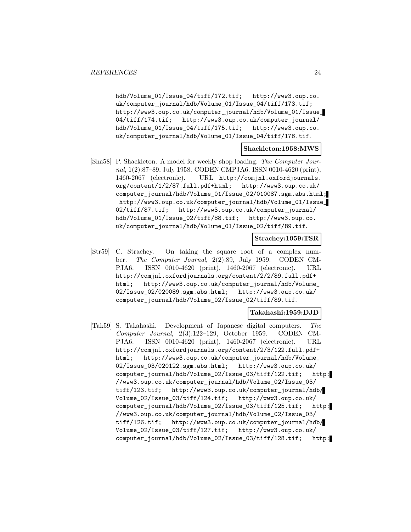hdb/Volume\_01/Issue\_04/tiff/172.tif; http://www3.oup.co. uk/computer\_journal/hdb/Volume\_01/Issue\_04/tiff/173.tif; http://www3.oup.co.uk/computer\_journal/hdb/Volume\_01/Issue\_ 04/tiff/174.tif; http://www3.oup.co.uk/computer\_journal/ hdb/Volume\_01/Issue\_04/tiff/175.tif; http://www3.oup.co. uk/computer\_journal/hdb/Volume\_01/Issue\_04/tiff/176.tif.

#### **Shackleton:1958:MWS**

[Sha58] P. Shackleton. A model for weekly shop loading. The Computer Journal, 1(2):87–89, July 1958. CODEN CMPJA6. ISSN 0010-4620 (print), 1460-2067 (electronic). URL http://comjnl.oxfordjournals. org/content/1/2/87.full.pdf+html; http://www3.oup.co.uk/ computer\_journal/hdb/Volume\_01/Issue\_02/010087.sgm.abs.html; http://www3.oup.co.uk/computer\_journal/hdb/Volume\_01/Issue\_ 02/tiff/87.tif; http://www3.oup.co.uk/computer\_journal/ hdb/Volume\_01/Issue\_02/tiff/88.tif; http://www3.oup.co. uk/computer\_journal/hdb/Volume\_01/Issue\_02/tiff/89.tif.

#### **Strachey:1959:TSR**

[Str59] C. Strachey. On taking the square root of a complex number. The Computer Journal, 2(2):89, July 1959. CODEN CM-PJA6. ISSN 0010-4620 (print), 1460-2067 (electronic). URL http://comjnl.oxfordjournals.org/content/2/2/89.full.pdf+ html; http://www3.oup.co.uk/computer\_journal/hdb/Volume\_ 02/Issue\_02/020089.sgm.abs.html; http://www3.oup.co.uk/ computer\_journal/hdb/Volume\_02/Issue\_02/tiff/89.tif.

## **Takahashi:1959:DJD**

[Tak59] S. Takahashi. Development of Japanese digital computers. The Computer Journal, 2(3):122–129, October 1959. CODEN CM-PJA6. ISSN 0010-4620 (print), 1460-2067 (electronic). URL http://comjnl.oxfordjournals.org/content/2/3/122.full.pdf+ html; http://www3.oup.co.uk/computer\_journal/hdb/Volume\_ 02/Issue\_03/020122.sgm.abs.html; http://www3.oup.co.uk/ computer\_journal/hdb/Volume\_02/Issue\_03/tiff/122.tif; http: //www3.oup.co.uk/computer\_journal/hdb/Volume\_02/Issue\_03/ tiff/123.tif; http://www3.oup.co.uk/computer\_journal/hdb/ Volume\_02/Issue\_03/tiff/124.tif; http://www3.oup.co.uk/ computer\_journal/hdb/Volume\_02/Issue\_03/tiff/125.tif; http: //www3.oup.co.uk/computer\_journal/hdb/Volume\_02/Issue\_03/ tiff/126.tif; http://www3.oup.co.uk/computer\_journal/hdb/ Volume\_02/Issue\_03/tiff/127.tif; http://www3.oup.co.uk/ computer\_journal/hdb/Volume\_02/Issue\_03/tiff/128.tif; http: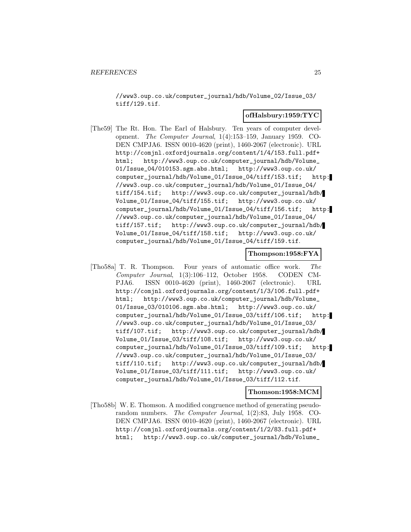//www3.oup.co.uk/computer\_journal/hdb/Volume\_02/Issue\_03/ tiff/129.tif.

#### **ofHalsbury:1959:TYC**

[The59] The Rt. Hon. The Earl of Halsbury. Ten years of computer development. The Computer Journal, 1(4):153–159, January 1959. CO-DEN CMPJA6. ISSN 0010-4620 (print), 1460-2067 (electronic). URL http://comjnl.oxfordjournals.org/content/1/4/153.full.pdf+ html; http://www3.oup.co.uk/computer\_journal/hdb/Volume\_ 01/Issue\_04/010153.sgm.abs.html; http://www3.oup.co.uk/ computer\_journal/hdb/Volume\_01/Issue\_04/tiff/153.tif; http: //www3.oup.co.uk/computer\_journal/hdb/Volume\_01/Issue\_04/ tiff/154.tif; http://www3.oup.co.uk/computer\_journal/hdb/ Volume\_01/Issue\_04/tiff/155.tif; http://www3.oup.co.uk/ computer\_journal/hdb/Volume\_01/Issue\_04/tiff/156.tif; http: //www3.oup.co.uk/computer\_journal/hdb/Volume\_01/Issue\_04/ tiff/157.tif; http://www3.oup.co.uk/computer\_journal/hdb/ Volume\_01/Issue\_04/tiff/158.tif; http://www3.oup.co.uk/ computer\_journal/hdb/Volume\_01/Issue\_04/tiff/159.tif.

## **Thompson:1958:FYA**

[Tho58a] T. R. Thompson. Four years of automatic office work. The Computer Journal, 1(3):106–112, October 1958. CODEN CM-PJA6. ISSN 0010-4620 (print), 1460-2067 (electronic). URL http://comjnl.oxfordjournals.org/content/1/3/106.full.pdf+ html; http://www3.oup.co.uk/computer\_journal/hdb/Volume\_ 01/Issue\_03/010106.sgm.abs.html; http://www3.oup.co.uk/ computer\_journal/hdb/Volume\_01/Issue\_03/tiff/106.tif; http: //www3.oup.co.uk/computer\_journal/hdb/Volume\_01/Issue\_03/ tiff/107.tif; http://www3.oup.co.uk/computer\_journal/hdb/ Volume\_01/Issue\_03/tiff/108.tif; http://www3.oup.co.uk/ computer\_journal/hdb/Volume\_01/Issue\_03/tiff/109.tif; http: //www3.oup.co.uk/computer\_journal/hdb/Volume\_01/Issue\_03/ tiff/110.tif; http://www3.oup.co.uk/computer\_journal/hdb/ Volume\_01/Issue\_03/tiff/111.tif; http://www3.oup.co.uk/ computer\_journal/hdb/Volume\_01/Issue\_03/tiff/112.tif.

#### **Thomson:1958:MCM**

[Tho58b] W. E. Thomson. A modified congruence method of generating pseudorandom numbers. The Computer Journal, 1(2):83, July 1958. CO-DEN CMPJA6. ISSN 0010-4620 (print), 1460-2067 (electronic). URL http://comjnl.oxfordjournals.org/content/1/2/83.full.pdf+ html; http://www3.oup.co.uk/computer\_journal/hdb/Volume\_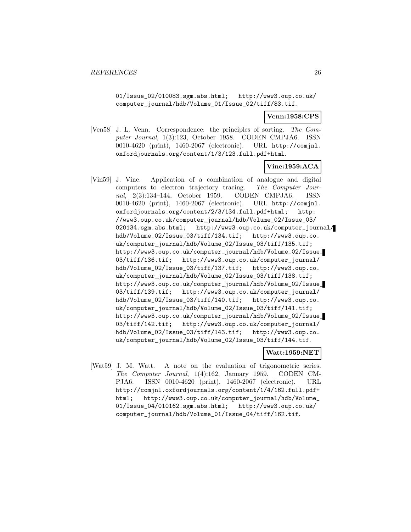01/Issue\_02/010083.sgm.abs.html; http://www3.oup.co.uk/ computer\_journal/hdb/Volume\_01/Issue\_02/tiff/83.tif.

## **Venn:1958:CPS**

[Ven58] J. L. Venn. Correspondence: the principles of sorting. The Computer Journal, 1(3):123, October 1958. CODEN CMPJA6. ISSN 0010-4620 (print), 1460-2067 (electronic). URL http://comjnl. oxfordjournals.org/content/1/3/123.full.pdf+html.

## **Vine:1959:ACA**

[Vin59] J. Vine. Application of a combination of analogue and digital computers to electron trajectory tracing. The Computer Journal, 2(3):134–144, October 1959. CODEN CMPJA6. ISSN 0010-4620 (print), 1460-2067 (electronic). URL http://comjnl. oxfordjournals.org/content/2/3/134.full.pdf+html; http: //www3.oup.co.uk/computer\_journal/hdb/Volume\_02/Issue\_03/ 020134.sgm.abs.html; http://www3.oup.co.uk/computer\_journal/ hdb/Volume\_02/Issue\_03/tiff/134.tif; http://www3.oup.co. uk/computer\_journal/hdb/Volume\_02/Issue\_03/tiff/135.tif; http://www3.oup.co.uk/computer\_journal/hdb/Volume\_02/Issue\_ 03/tiff/136.tif; http://www3.oup.co.uk/computer\_journal/ hdb/Volume\_02/Issue\_03/tiff/137.tif; http://www3.oup.co. uk/computer\_journal/hdb/Volume\_02/Issue\_03/tiff/138.tif; http://www3.oup.co.uk/computer\_journal/hdb/Volume\_02/Issue\_ 03/tiff/139.tif; http://www3.oup.co.uk/computer\_journal/ hdb/Volume\_02/Issue\_03/tiff/140.tif; http://www3.oup.co. uk/computer\_journal/hdb/Volume\_02/Issue\_03/tiff/141.tif; http://www3.oup.co.uk/computer\_journal/hdb/Volume\_02/Issue\_ 03/tiff/142.tif; http://www3.oup.co.uk/computer\_journal/ hdb/Volume\_02/Issue\_03/tiff/143.tif; http://www3.oup.co. uk/computer\_journal/hdb/Volume\_02/Issue\_03/tiff/144.tif.

## **Watt:1959:NET**

[Wat59] J. M. Watt. A note on the evaluation of trigonometric series. The Computer Journal, 1(4):162, January 1959. CODEN CM-PJA6. ISSN 0010-4620 (print), 1460-2067 (electronic). URL http://comjnl.oxfordjournals.org/content/1/4/162.full.pdf+ html; http://www3.oup.co.uk/computer\_journal/hdb/Volume\_ 01/Issue\_04/010162.sgm.abs.html; http://www3.oup.co.uk/ computer\_journal/hdb/Volume\_01/Issue\_04/tiff/162.tif.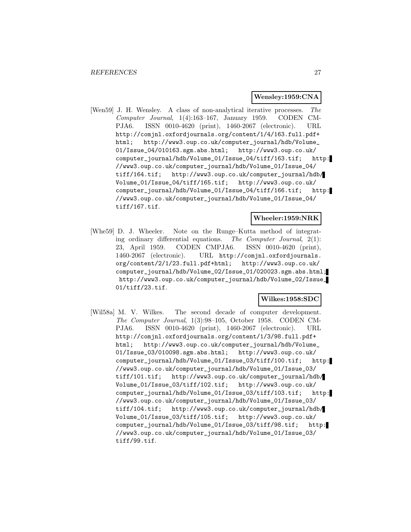#### **Wensley:1959:CNA**

[Wen59] J. H. Wensley. A class of non-analytical iterative processes. The Computer Journal, 1(4):163–167, January 1959. CODEN CM-PJA6. ISSN 0010-4620 (print), 1460-2067 (electronic). URL http://comjnl.oxfordjournals.org/content/1/4/163.full.pdf+ html; http://www3.oup.co.uk/computer\_journal/hdb/Volume\_ 01/Issue\_04/010163.sgm.abs.html; http://www3.oup.co.uk/ computer\_journal/hdb/Volume\_01/Issue\_04/tiff/163.tif; http: //www3.oup.co.uk/computer\_journal/hdb/Volume\_01/Issue\_04/ tiff/164.tif; http://www3.oup.co.uk/computer\_journal/hdb/ Volume\_01/Issue\_04/tiff/165.tif; http://www3.oup.co.uk/ computer\_journal/hdb/Volume\_01/Issue\_04/tiff/166.tif; http: //www3.oup.co.uk/computer\_journal/hdb/Volume\_01/Issue\_04/ tiff/167.tif.

#### **Wheeler:1959:NRK**

[Whe59] D. J. Wheeler. Note on the Runge–Kutta method of integrating ordinary differential equations. The Computer Journal, 2(1): 23, April 1959. CODEN CMPJA6. ISSN 0010-4620 (print), 1460-2067 (electronic). URL http://comjnl.oxfordjournals. org/content/2/1/23.full.pdf+html; http://www3.oup.co.uk/ computer\_journal/hdb/Volume\_02/Issue\_01/020023.sgm.abs.html; http://www3.oup.co.uk/computer\_journal/hdb/Volume\_02/Issue\_ 01/tiff/23.tif.

## **Wilkes:1958:SDC**

[Wil58a] M. V. Wilkes. The second decade of computer development. The Computer Journal, 1(3):98–105, October 1958. CODEN CM-PJA6. ISSN 0010-4620 (print), 1460-2067 (electronic). URL http://comjnl.oxfordjournals.org/content/1/3/98.full.pdf+ html; http://www3.oup.co.uk/computer\_journal/hdb/Volume\_ 01/Issue\_03/010098.sgm.abs.html; http://www3.oup.co.uk/ computer\_journal/hdb/Volume\_01/Issue\_03/tiff/100.tif; http: //www3.oup.co.uk/computer\_journal/hdb/Volume\_01/Issue\_03/ tiff/101.tif; http://www3.oup.co.uk/computer\_journal/hdb/ Volume\_01/Issue\_03/tiff/102.tif; http://www3.oup.co.uk/ computer\_journal/hdb/Volume\_01/Issue\_03/tiff/103.tif; http: //www3.oup.co.uk/computer\_journal/hdb/Volume\_01/Issue\_03/ tiff/104.tif; http://www3.oup.co.uk/computer\_journal/hdb/ Volume\_01/Issue\_03/tiff/105.tif; http://www3.oup.co.uk/ computer\_journal/hdb/Volume\_01/Issue\_03/tiff/98.tif; http: //www3.oup.co.uk/computer\_journal/hdb/Volume\_01/Issue\_03/ tiff/99.tif.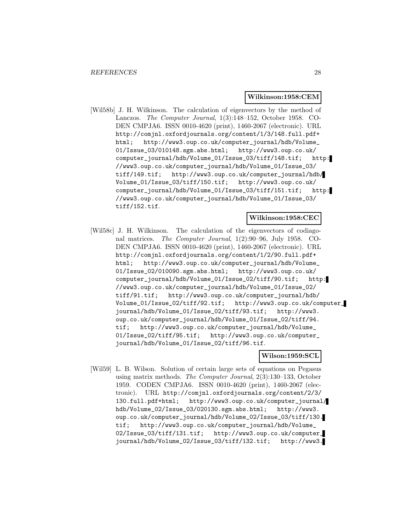#### **Wilkinson:1958:CEM**

[Wil58b] J. H. Wilkinson. The calculation of eigenvectors by the method of Lanczos. The Computer Journal, 1(3):148–152, October 1958. CO-DEN CMPJA6. ISSN 0010-4620 (print), 1460-2067 (electronic). URL http://comjnl.oxfordjournals.org/content/1/3/148.full.pdf+ html; http://www3.oup.co.uk/computer\_journal/hdb/Volume\_ 01/Issue\_03/010148.sgm.abs.html; http://www3.oup.co.uk/ computer\_journal/hdb/Volume\_01/Issue\_03/tiff/148.tif; http: //www3.oup.co.uk/computer\_journal/hdb/Volume\_01/Issue\_03/ tiff/149.tif; http://www3.oup.co.uk/computer\_journal/hdb/ Volume\_01/Issue\_03/tiff/150.tif; http://www3.oup.co.uk/ computer\_journal/hdb/Volume\_01/Issue\_03/tiff/151.tif; http: //www3.oup.co.uk/computer\_journal/hdb/Volume\_01/Issue\_03/ tiff/152.tif.

#### **Wilkinson:1958:CEC**

[Wil58c] J. H. Wilkinson. The calculation of the eigenvectors of codiagonal matrices. The Computer Journal, 1(2):90–96, July 1958. CO-DEN CMPJA6. ISSN 0010-4620 (print), 1460-2067 (electronic). URL http://comjnl.oxfordjournals.org/content/1/2/90.full.pdf+ html; http://www3.oup.co.uk/computer\_journal/hdb/Volume\_ 01/Issue\_02/010090.sgm.abs.html; http://www3.oup.co.uk/ computer\_journal/hdb/Volume\_01/Issue\_02/tiff/90.tif; http: //www3.oup.co.uk/computer\_journal/hdb/Volume\_01/Issue\_02/ tiff/91.tif; http://www3.oup.co.uk/computer\_journal/hdb/ Volume\_01/Issue\_02/tiff/92.tif; http://www3.oup.co.uk/computer\_ journal/hdb/Volume\_01/Issue\_02/tiff/93.tif; http://www3. oup.co.uk/computer\_journal/hdb/Volume\_01/Issue\_02/tiff/94. tif; http://www3.oup.co.uk/computer\_journal/hdb/Volume\_ 01/Issue\_02/tiff/95.tif; http://www3.oup.co.uk/computer\_ journal/hdb/Volume\_01/Issue\_02/tiff/96.tif.

## **Wilson:1959:SCL**

[Wil59] L. B. Wilson. Solution of certain large sets of equations on Pegasus using matrix methods. The Computer Journal, 2(3):130–133, October 1959. CODEN CMPJA6. ISSN 0010-4620 (print), 1460-2067 (electronic). URL http://comjnl.oxfordjournals.org/content/2/3/ 130.full.pdf+html; http://www3.oup.co.uk/computer\_journal/ hdb/Volume\_02/Issue\_03/020130.sgm.abs.html; http://www3. oup.co.uk/computer\_journal/hdb/Volume\_02/Issue\_03/tiff/130. tif; http://www3.oup.co.uk/computer\_journal/hdb/Volume\_ 02/Issue\_03/tiff/131.tif; http://www3.oup.co.uk/computer\_ journal/hdb/Volume\_02/Issue\_03/tiff/132.tif; http://www3.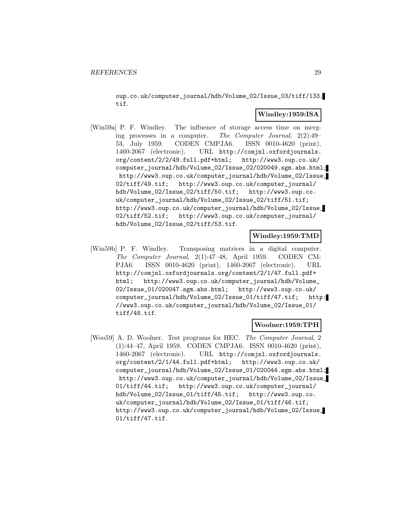oup.co.uk/computer\_journal/hdb/Volume\_02/Issue\_03/tiff/133. tif.

## **Windley:1959:ISA**

[Win59a] P. F. Windley. The influence of storage access time on merging processes in a computer. The Computer Journal, 2(2):49– 53, July 1959. CODEN CMPJA6. ISSN 0010-4620 (print), 1460-2067 (electronic). URL http://comjnl.oxfordjournals. org/content/2/2/49.full.pdf+html; http://www3.oup.co.uk/ computer\_journal/hdb/Volume\_02/Issue\_02/020049.sgm.abs.html; http://www3.oup.co.uk/computer\_journal/hdb/Volume\_02/Issue\_ 02/tiff/49.tif; http://www3.oup.co.uk/computer\_journal/ hdb/Volume\_02/Issue\_02/tiff/50.tif; http://www3.oup.co. uk/computer\_journal/hdb/Volume\_02/Issue\_02/tiff/51.tif; http://www3.oup.co.uk/computer\_journal/hdb/Volume\_02/Issue\_ 02/tiff/52.tif; http://www3.oup.co.uk/computer\_journal/ hdb/Volume\_02/Issue\_02/tiff/53.tif.

## **Windley:1959:TMD**

[Win59b] P. F. Windley. Transposing matrices in a digital computer. The Computer Journal, 2(1):47–48, April 1959. CODEN CM-PJA6. ISSN 0010-4620 (print), 1460-2067 (electronic). URL http://comjnl.oxfordjournals.org/content/2/1/47.full.pdf+ html; http://www3.oup.co.uk/computer\_journal/hdb/Volume\_ 02/Issue\_01/020047.sgm.abs.html; http://www3.oup.co.uk/ computer\_journal/hdb/Volume\_02/Issue\_01/tiff/47.tif; http: //www3.oup.co.uk/computer\_journal/hdb/Volume\_02/Issue\_01/ tiff/48.tif.

## **Woolner:1959:TPH**

[Woo59] A. D. Woolner. Test programs for HEC. The Computer Journal, 2 (1):44–47, April 1959. CODEN CMPJA6. ISSN 0010-4620 (print), 1460-2067 (electronic). URL http://comjnl.oxfordjournals. org/content/2/1/44.full.pdf+html; http://www3.oup.co.uk/ computer\_journal/hdb/Volume\_02/Issue\_01/020044.sgm.abs.html; http://www3.oup.co.uk/computer\_journal/hdb/Volume\_02/Issue\_ 01/tiff/44.tif; http://www3.oup.co.uk/computer\_journal/ hdb/Volume\_02/Issue\_01/tiff/45.tif; http://www3.oup.co. uk/computer\_journal/hdb/Volume\_02/Issue\_01/tiff/46.tif; http://www3.oup.co.uk/computer\_journal/hdb/Volume\_02/Issue\_ 01/tiff/47.tif.